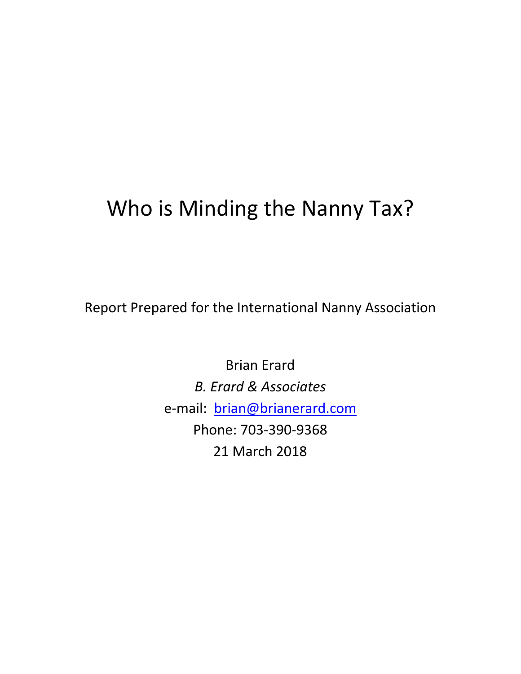# Who is Minding the Nanny Tax?

Report Prepared for the International Nanny Association

Brian Erard *B. Erard & Associates* e-mail: brian@brianerard.com Phone: 703-390-9368 21 March 2018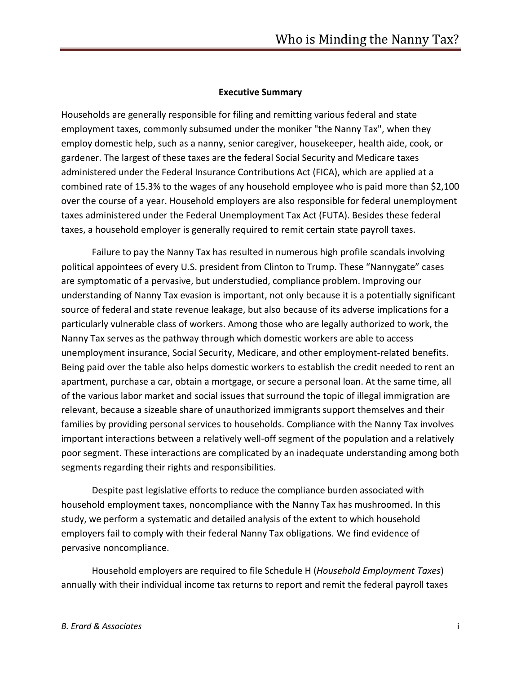#### **Executive Summary**

Households are generally responsible for filing and remitting various federal and state employment taxes, commonly subsumed under the moniker "the Nanny Tax", when they employ domestic help, such as a nanny, senior caregiver, housekeeper, health aide, cook, or gardener. The largest of these taxes are the federal Social Security and Medicare taxes administered under the Federal Insurance Contributions Act (FICA), which are applied at a combined rate of 15.3% to the wages of any household employee who is paid more than \$2,100 over the course of a year. Household employers are also responsible for federal unemployment taxes administered under the Federal Unemployment Tax Act (FUTA). Besides these federal taxes, a household employer is generally required to remit certain state payroll taxes.

Failure to pay the Nanny Tax has resulted in numerous high profile scandals involving political appointees of every U.S. president from Clinton to Trump. These "Nannygate" cases are symptomatic of a pervasive, but understudied, compliance problem. Improving our understanding of Nanny Tax evasion is important, not only because it is a potentially significant source of federal and state revenue leakage, but also because of its adverse implications for a particularly vulnerable class of workers. Among those who are legally authorized to work, the Nanny Tax serves as the pathway through which domestic workers are able to access unemployment insurance, Social Security, Medicare, and other employment-related benefits. Being paid over the table also helps domestic workers to establish the credit needed to rent an apartment, purchase a car, obtain a mortgage, or secure a personal loan. At the same time, all of the various labor market and social issues that surround the topic of illegal immigration are relevant, because a sizeable share of unauthorized immigrants support themselves and their families by providing personal services to households. Compliance with the Nanny Tax involves important interactions between a relatively well-off segment of the population and a relatively poor segment. These interactions are complicated by an inadequate understanding among both segments regarding their rights and responsibilities.

Despite past legislative efforts to reduce the compliance burden associated with household employment taxes, noncompliance with the Nanny Tax has mushroomed. In this study, we perform a systematic and detailed analysis of the extent to which household employers fail to comply with their federal Nanny Tax obligations. We find evidence of pervasive noncompliance.

Household employers are required to file Schedule H (*Household Employment Taxes*) annually with their individual income tax returns to report and remit the federal payroll taxes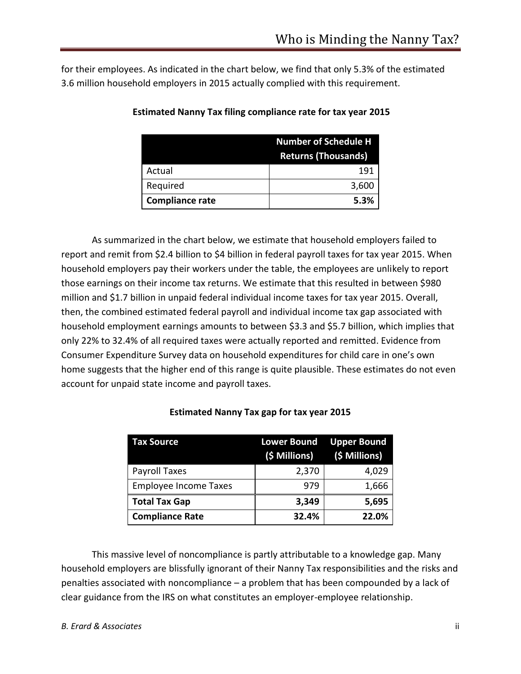for their employees. As indicated in the chart below, we find that only 5.3% of the estimated 3.6 million household employers in 2015 actually complied with this requirement.

|                        | <b>Number of Schedule H</b> |  |
|------------------------|-----------------------------|--|
|                        | <b>Returns (Thousands)</b>  |  |
| Actual                 | 191                         |  |
| Required               | 3,600                       |  |
| <b>Compliance rate</b> | 5.3%                        |  |

#### **Estimated Nanny Tax filing compliance rate for tax year 2015**

As summarized in the chart below, we estimate that household employers failed to report and remit from \$2.4 billion to \$4 billion in federal payroll taxes for tax year 2015. When household employers pay their workers under the table, the employees are unlikely to report those earnings on their income tax returns. We estimate that this resulted in between \$980 million and \$1.7 billion in unpaid federal individual income taxes for tax year 2015. Overall, then, the combined estimated federal payroll and individual income tax gap associated with household employment earnings amounts to between \$3.3 and \$5.7 billion, which implies that only 22% to 32.4% of all required taxes were actually reported and remitted. Evidence from Consumer Expenditure Survey data on household expenditures for child care in one's own home suggests that the higher end of this range is quite plausible. These estimates do not even account for unpaid state income and payroll taxes.

| <b>Tax Source</b>            | <b>Lower Bound</b> Upper Bound<br>(\$ Millions) | (\$ Millions) |
|------------------------------|-------------------------------------------------|---------------|
| Payroll Taxes                | 2,370                                           | 4,029         |
| <b>Employee Income Taxes</b> | 979                                             | 1,666         |
| <b>Total Tax Gap</b>         | 3,349                                           | 5,695         |
| <b>Compliance Rate</b>       | 32.4%                                           | 22.0%         |

#### **Estimated Nanny Tax gap for tax year 2015**

This massive level of noncompliance is partly attributable to a knowledge gap. Many household employers are blissfully ignorant of their Nanny Tax responsibilities and the risks and penalties associated with noncompliance – a problem that has been compounded by a lack of clear guidance from the IRS on what constitutes an employer-employee relationship.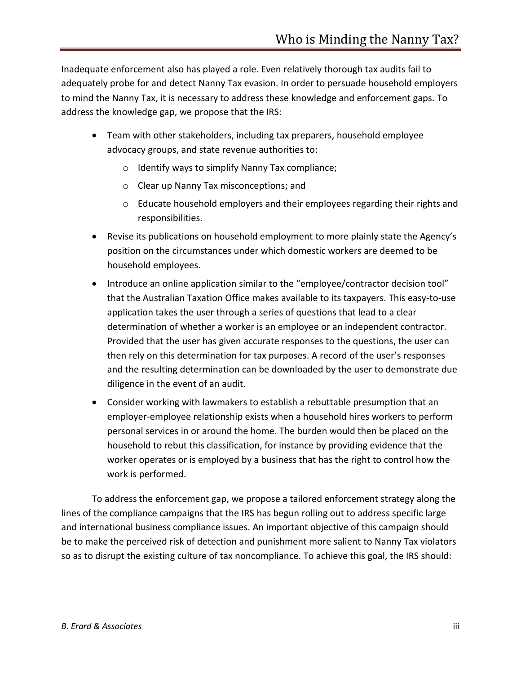Inadequate enforcement also has played a role. Even relatively thorough tax audits fail to adequately probe for and detect Nanny Tax evasion. In order to persuade household employers to mind the Nanny Tax, it is necessary to address these knowledge and enforcement gaps. To address the knowledge gap, we propose that the IRS:

- Team with other stakeholders, including tax preparers, household employee advocacy groups, and state revenue authorities to:
	- o Identify ways to simplify Nanny Tax compliance;
	- o Clear up Nanny Tax misconceptions; and
	- $\circ$  Educate household employers and their employees regarding their rights and responsibilities.
- Revise its publications on household employment to more plainly state the Agency's position on the circumstances under which domestic workers are deemed to be household employees.
- Introduce an online application similar to the "employee/contractor decision tool" that the Australian Taxation Office makes available to its taxpayers. This easy-to-use application takes the user through a series of questions that lead to a clear determination of whether a worker is an employee or an independent contractor. Provided that the user has given accurate responses to the questions, the user can then rely on this determination for tax purposes. A record of the user's responses and the resulting determination can be downloaded by the user to demonstrate due diligence in the event of an audit.
- Consider working with lawmakers to establish a rebuttable presumption that an employer-employee relationship exists when a household hires workers to perform personal services in or around the home. The burden would then be placed on the household to rebut this classification, for instance by providing evidence that the worker operates or is employed by a business that has the right to control how the work is performed.

To address the enforcement gap, we propose a tailored enforcement strategy along the lines of the compliance campaigns that the IRS has begun rolling out to address specific large and international business compliance issues. An important objective of this campaign should be to make the perceived risk of detection and punishment more salient to Nanny Tax violators so as to disrupt the existing culture of tax noncompliance. To achieve this goal, the IRS should: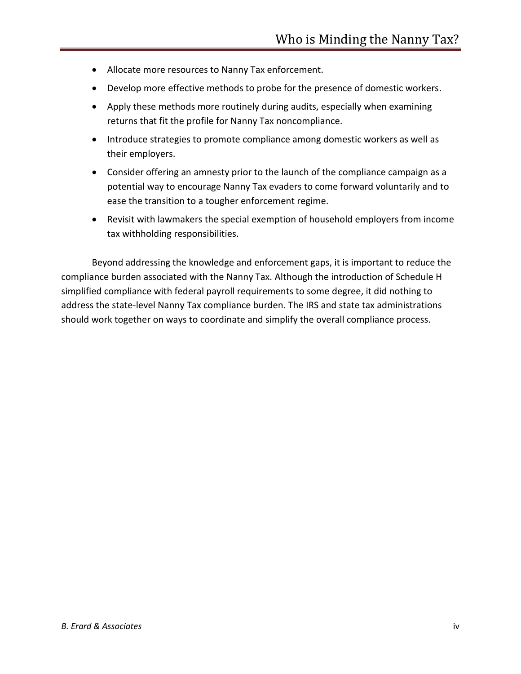- Allocate more resources to Nanny Tax enforcement.
- Develop more effective methods to probe for the presence of domestic workers.
- Apply these methods more routinely during audits, especially when examining returns that fit the profile for Nanny Tax noncompliance.
- Introduce strategies to promote compliance among domestic workers as well as their employers.
- Consider offering an amnesty prior to the launch of the compliance campaign as a potential way to encourage Nanny Tax evaders to come forward voluntarily and to ease the transition to a tougher enforcement regime.
- Revisit with lawmakers the special exemption of household employers from income tax withholding responsibilities.

Beyond addressing the knowledge and enforcement gaps, it is important to reduce the compliance burden associated with the Nanny Tax. Although the introduction of Schedule H simplified compliance with federal payroll requirements to some degree, it did nothing to address the state-level Nanny Tax compliance burden. The IRS and state tax administrations should work together on ways to coordinate and simplify the overall compliance process.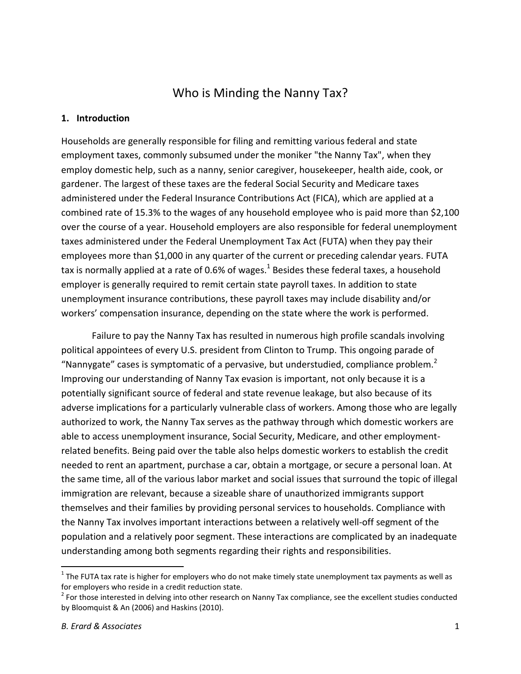# Who is Minding the Nanny Tax?

#### **1. Introduction**

Households are generally responsible for filing and remitting various federal and state employment taxes, commonly subsumed under the moniker "the Nanny Tax", when they employ domestic help, such as a nanny, senior caregiver, housekeeper, health aide, cook, or gardener. The largest of these taxes are the federal Social Security and Medicare taxes administered under the Federal Insurance Contributions Act (FICA), which are applied at a combined rate of 15.3% to the wages of any household employee who is paid more than \$2,100 over the course of a year. Household employers are also responsible for federal unemployment taxes administered under the Federal Unemployment Tax Act (FUTA) when they pay their employees more than \$1,000 in any quarter of the current or preceding calendar years. FUTA tax is normally applied at a rate of 0.6% of wages.<sup>1</sup> Besides these federal taxes, a household employer is generally required to remit certain state payroll taxes. In addition to state unemployment insurance contributions, these payroll taxes may include disability and/or workers' compensation insurance, depending on the state where the work is performed.

Failure to pay the Nanny Tax has resulted in numerous high profile scandals involving political appointees of every U.S. president from Clinton to Trump. This ongoing parade of "Nannygate" cases is symptomatic of a pervasive, but understudied, compliance problem. $2$ Improving our understanding of Nanny Tax evasion is important, not only because it is a potentially significant source of federal and state revenue leakage, but also because of its adverse implications for a particularly vulnerable class of workers. Among those who are legally authorized to work, the Nanny Tax serves as the pathway through which domestic workers are able to access unemployment insurance, Social Security, Medicare, and other employmentrelated benefits. Being paid over the table also helps domestic workers to establish the credit needed to rent an apartment, purchase a car, obtain a mortgage, or secure a personal loan. At the same time, all of the various labor market and social issues that surround the topic of illegal immigration are relevant, because a sizeable share of unauthorized immigrants support themselves and their families by providing personal services to households. Compliance with the Nanny Tax involves important interactions between a relatively well-off segment of the population and a relatively poor segment. These interactions are complicated by an inadequate understanding among both segments regarding their rights and responsibilities.

 $\overline{a}$ 

<sup>&</sup>lt;sup>1</sup> The FUTA tax rate is higher for employers who do not make timely state unemployment tax payments as well as for employers who reside in a credit reduction state.

 $2^{2}$  For those interested in delving into other research on Nanny Tax compliance, see the excellent studies conducted by Bloomquist & An (2006) and Haskins (2010).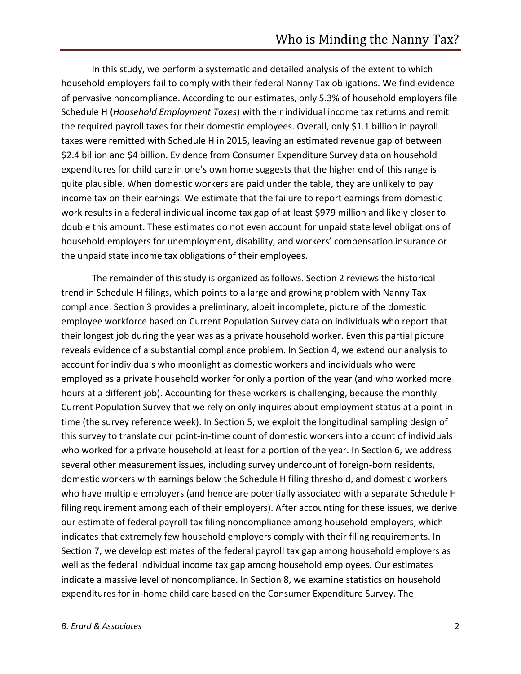In this study, we perform a systematic and detailed analysis of the extent to which household employers fail to comply with their federal Nanny Tax obligations. We find evidence of pervasive noncompliance. According to our estimates, only 5.3% of household employers file Schedule H (*Household Employment Taxes*) with their individual income tax returns and remit the required payroll taxes for their domestic employees. Overall, only \$1.1 billion in payroll taxes were remitted with Schedule H in 2015, leaving an estimated revenue gap of between \$2.4 billion and \$4 billion. Evidence from Consumer Expenditure Survey data on household expenditures for child care in one's own home suggests that the higher end of this range is quite plausible. When domestic workers are paid under the table, they are unlikely to pay income tax on their earnings. We estimate that the failure to report earnings from domestic work results in a federal individual income tax gap of at least \$979 million and likely closer to double this amount. These estimates do not even account for unpaid state level obligations of household employers for unemployment, disability, and workers' compensation insurance or the unpaid state income tax obligations of their employees.

The remainder of this study is organized as follows. Section 2 reviews the historical trend in Schedule H filings, which points to a large and growing problem with Nanny Tax compliance. Section 3 provides a preliminary, albeit incomplete, picture of the domestic employee workforce based on Current Population Survey data on individuals who report that their longest job during the year was as a private household worker. Even this partial picture reveals evidence of a substantial compliance problem. In Section 4, we extend our analysis to account for individuals who moonlight as domestic workers and individuals who were employed as a private household worker for only a portion of the year (and who worked more hours at a different job). Accounting for these workers is challenging, because the monthly Current Population Survey that we rely on only inquires about employment status at a point in time (the survey reference week). In Section 5, we exploit the longitudinal sampling design of this survey to translate our point-in-time count of domestic workers into a count of individuals who worked for a private household at least for a portion of the year. In Section 6, we address several other measurement issues, including survey undercount of foreign-born residents, domestic workers with earnings below the Schedule H filing threshold, and domestic workers who have multiple employers (and hence are potentially associated with a separate Schedule H filing requirement among each of their employers). After accounting for these issues, we derive our estimate of federal payroll tax filing noncompliance among household employers, which indicates that extremely few household employers comply with their filing requirements. In Section 7, we develop estimates of the federal payroll tax gap among household employers as well as the federal individual income tax gap among household employees. Our estimates indicate a massive level of noncompliance. In Section 8, we examine statistics on household expenditures for in-home child care based on the Consumer Expenditure Survey. The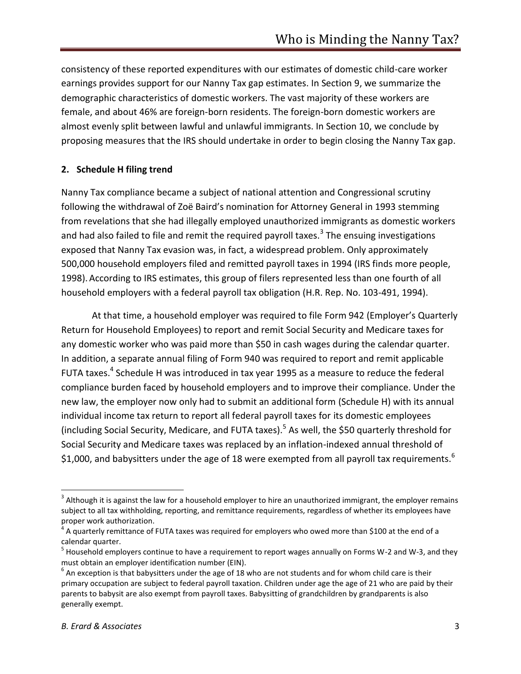consistency of these reported expenditures with our estimates of domestic child-care worker earnings provides support for our Nanny Tax gap estimates. In Section 9, we summarize the demographic characteristics of domestic workers. The vast majority of these workers are female, and about 46% are foreign-born residents. The foreign-born domestic workers are almost evenly split between lawful and unlawful immigrants. In Section 10, we conclude by proposing measures that the IRS should undertake in order to begin closing the Nanny Tax gap.

#### **2. Schedule H filing trend**

Nanny Tax compliance became a subject of national attention and Congressional scrutiny following the withdrawal of Zoë Baird's nomination for Attorney General in 1993 stemming from revelations that she had illegally employed unauthorized immigrants as domestic workers and had also failed to file and remit the required payroll taxes.<sup>3</sup> The ensuing investigations exposed that Nanny Tax evasion was, in fact, a widespread problem. Only approximately 500,000 household employers filed and remitted payroll taxes in 1994 (IRS finds more people, 1998). According to IRS estimates, this group of filers represented less than one fourth of all household employers with a federal payroll tax obligation (H.R. Rep. No. 103-491, 1994).

At that time, a household employer was required to file Form 942 (Employer's Quarterly Return for Household Employees) to report and remit Social Security and Medicare taxes for any domestic worker who was paid more than \$50 in cash wages during the calendar quarter. In addition, a separate annual filing of Form 940 was required to report and remit applicable FUTA taxes.<sup>4</sup> Schedule H was introduced in tax year 1995 as a measure to reduce the federal compliance burden faced by household employers and to improve their compliance. Under the new law, the employer now only had to submit an additional form (Schedule H) with its annual individual income tax return to report all federal payroll taxes for its domestic employees (including Social Security, Medicare, and FUTA taxes).<sup>5</sup> As well, the \$50 quarterly threshold for Social Security and Medicare taxes was replaced by an inflation-indexed annual threshold of \$1,000, and babysitters under the age of 18 were exempted from all payroll tax requirements.<sup>6</sup>

 $^3$  Although it is against the law for a household employer to hire an unauthorized immigrant, the employer remains subject to all tax withholding, reporting, and remittance requirements, regardless of whether its employees have proper work authorization.

 $^4$  A quarterly remittance of FUTA taxes was required for employers who owed more than \$100 at the end of a calendar quarter.

<sup>&</sup>lt;sup>5</sup> Household employers continue to have a requirement to report wages annually on Forms W-2 and W-3, and they must obtain an employer identification number (EIN).

 $^6$  An exception is that babysitters under the age of 18 who are not students and for whom child care is their primary occupation are subject to federal payroll taxation. Children under age the age of 21 who are paid by their parents to babysit are also exempt from payroll taxes. Babysitting of grandchildren by grandparents is also generally exempt.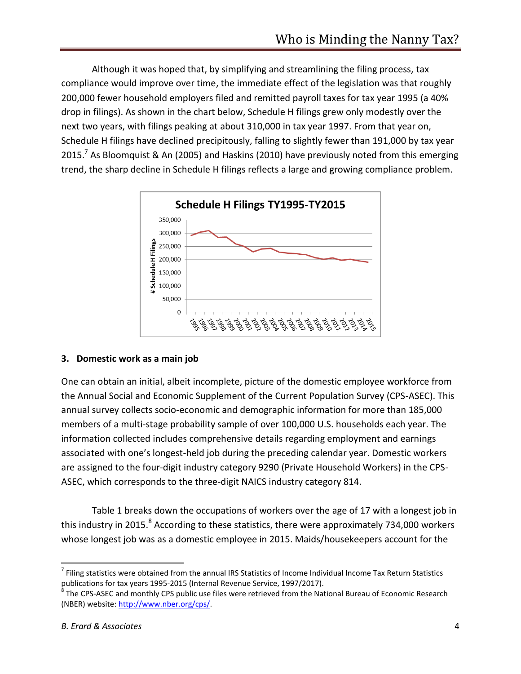Although it was hoped that, by simplifying and streamlining the filing process, tax compliance would improve over time, the immediate effect of the legislation was that roughly 200,000 fewer household employers filed and remitted payroll taxes for tax year 1995 (a 40% drop in filings). As shown in the chart below, Schedule H filings grew only modestly over the next two years, with filings peaking at about 310,000 in tax year 1997. From that year on, Schedule H filings have declined precipitously, falling to slightly fewer than 191,000 by tax year 2015.<sup>7</sup> As Bloomquist & An (2005) and Haskins (2010) have previously noted from this emerging trend, the sharp decline in Schedule H filings reflects a large and growing compliance problem.



## **3. Domestic work as a main job**

One can obtain an initial, albeit incomplete, picture of the domestic employee workforce from the Annual Social and Economic Supplement of the Current Population Survey (CPS-ASEC). This annual survey collects socio-economic and demographic information for more than 185,000 members of a multi-stage probability sample of over 100,000 U.S. households each year. The information collected includes comprehensive details regarding employment and earnings associated with one's longest-held job during the preceding calendar year. Domestic workers are assigned to the four-digit industry category 9290 (Private Household Workers) in the CPS-ASEC, which corresponds to the three-digit NAICS industry category 814.

Table 1 breaks down the occupations of workers over the age of 17 with a longest job in this industry in 2015.<sup>8</sup> According to these statistics, there were approximately 734,000 workers whose longest job was as a domestic employee in 2015. Maids/housekeepers account for the

 $^7$  Filing statistics were obtained from the annual IRS Statistics of Income Individual Income Tax Return Statistics publications for tax years 1995-2015 (Internal Revenue Service, 1997/2017).

 $^8$  The CPS-ASEC and monthly CPS public use files were retrieved from the National Bureau of Economic Research (NBER) website: http://www.nber.org/cps/.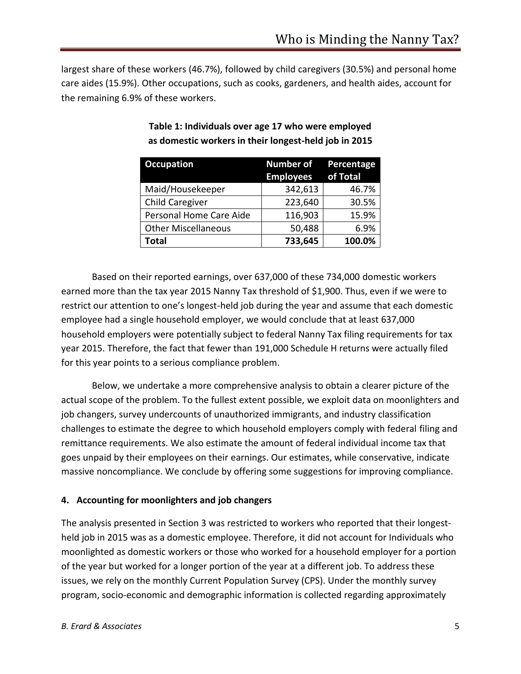largest share of these workers (46.7%), followed by child caregivers (30.5%) and personal home care aides (15.9%). Other occupations, such as cooks, gardeners, and health aides, account for the remaining 6.9% of these workers.

| <b>Occupation</b>          | <b>Number of</b><br><b>Employees</b> | Percentage<br>of Total |
|----------------------------|--------------------------------------|------------------------|
| Maid/Housekeeper           | 342,613                              | 46.7%                  |
| <b>Child Caregiver</b>     | 223,640                              | 30.5%                  |
| Personal Home Care Aide    | 116,903                              | 15.9%                  |
| <b>Other Miscellaneous</b> | 50,488                               | 6.9%                   |
| Total                      | 733,645                              | 100.0%                 |

# **Table 1: Individuals over age 17 who were employed as domestic workers in their longest-held job in 2015**

Based on their reported earnings, over 637,000 of these 734,000 domestic workers earned more than the tax year 2015 Nanny Tax threshold of \$1,900. Thus, even if we were to restrict our attention to one's longest-held job during the year and assume that each domestic employee had a single household employer, we would conclude that at least 637,000 household employers were potentially subject to federal Nanny Tax filing requirements for tax year 2015. Therefore, the fact that fewer than 191,000 Schedule H returns were actually filed for this year points to a serious compliance problem.

Below, we undertake a more comprehensive analysis to obtain a clearer picture of the actual scope of the problem. To the fullest extent possible, we exploit data on moonlighters and job changers, survey undercounts of unauthorized immigrants, and industry classification challenges to estimate the degree to which household employers comply with federal filing and remittance requirements. We also estimate the amount of federal individual income tax that goes unpaid by their employees on their earnings. Our estimates, while conservative, indicate massive noncompliance. We conclude by offering some suggestions for improving compliance.

## **4. Accounting for moonlighters and job changers**

The analysis presented in Section 3 was restricted to workers who reported that their longestheld job in 2015 was as a domestic employee. Therefore, it did not account for Individuals who moonlighted as domestic workers or those who worked for a household employer for a portion of the year but worked for a longer portion of the year at a different job. To address these issues, we rely on the monthly Current Population Survey (CPS). Under the monthly survey program, socio-economic and demographic information is collected regarding approximately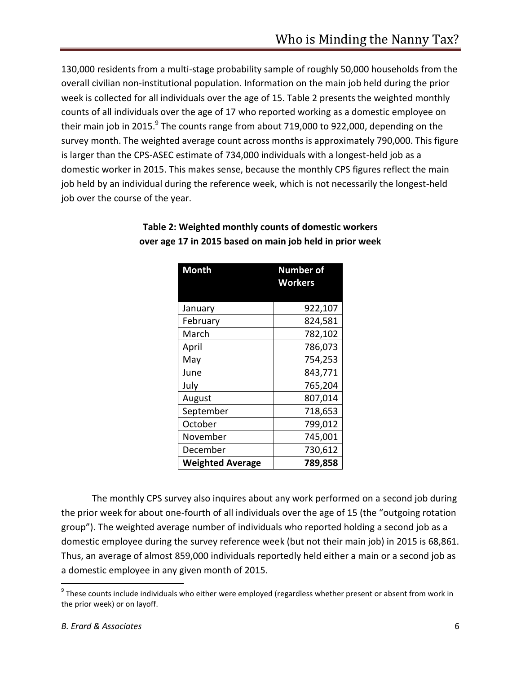130,000 residents from a multi-stage probability sample of roughly 50,000 households from the overall civilian non-institutional population. Information on the main job held during the prior week is collected for all individuals over the age of 15. Table 2 presents the weighted monthly counts of all individuals over the age of 17 who reported working as a domestic employee on their main job in 2015. $^9$  The counts range from about 719,000 to 922,000, depending on the survey month. The weighted average count across months is approximately 790,000. This figure is larger than the CPS-ASEC estimate of 734,000 individuals with a longest-held job as a domestic worker in 2015. This makes sense, because the monthly CPS figures reflect the main job held by an individual during the reference week, which is not necessarily the longest-held job over the course of the year.

| <b>Month</b>            | <b>Number of</b><br><b>Workers</b> |  |
|-------------------------|------------------------------------|--|
|                         |                                    |  |
| January                 | 922,107                            |  |
| February                | 824,581                            |  |
| March                   | 782,102                            |  |
| April                   | 786,073                            |  |
| May                     | 754,253                            |  |
| June                    | 843,771                            |  |
| July                    | 765,204                            |  |
| August                  | 807,014                            |  |
| September               | 718,653                            |  |
| October                 | 799,012                            |  |
| November                | 745,001                            |  |
| December                | 730,612                            |  |
| <b>Weighted Average</b> | 789,858                            |  |

# **Table 2: Weighted monthly counts of domestic workers over age 17 in 2015 based on main job held in prior week**

The monthly CPS survey also inquires about any work performed on a second job during the prior week for about one-fourth of all individuals over the age of 15 (the "outgoing rotation group"). The weighted average number of individuals who reported holding a second job as a domestic employee during the survey reference week (but not their main job) in 2015 is 68,861. Thus, an average of almost 859,000 individuals reportedly held either a main or a second job as a domestic employee in any given month of 2015.

<sup>&</sup>lt;sup>9</sup> These counts include individuals who either were employed (regardless whether present or absent from work in the prior week) or on layoff.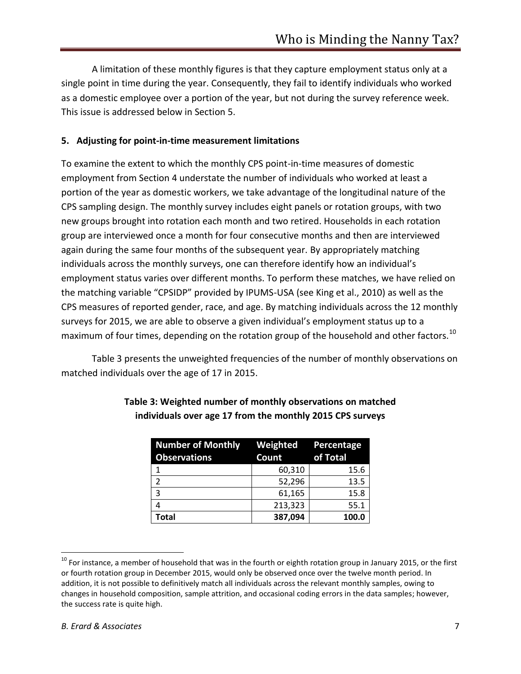A limitation of these monthly figures is that they capture employment status only at a single point in time during the year. Consequently, they fail to identify individuals who worked as a domestic employee over a portion of the year, but not during the survey reference week. This issue is addressed below in Section 5.

#### **5. Adjusting for point-in-time measurement limitations**

To examine the extent to which the monthly CPS point-in-time measures of domestic employment from Section 4 understate the number of individuals who worked at least a portion of the year as domestic workers, we take advantage of the longitudinal nature of the CPS sampling design. The monthly survey includes eight panels or rotation groups, with two new groups brought into rotation each month and two retired. Households in each rotation group are interviewed once a month for four consecutive months and then are interviewed again during the same four months of the subsequent year. By appropriately matching individuals across the monthly surveys, one can therefore identify how an individual's employment status varies over different months. To perform these matches, we have relied on the matching variable "CPSIDP" provided by IPUMS-USA (see King et al., 2010) as well as the CPS measures of reported gender, race, and age. By matching individuals across the 12 monthly surveys for 2015, we are able to observe a given individual's employment status up to a maximum of four times, depending on the rotation group of the household and other factors.<sup>10</sup>

Table 3 presents the unweighted frequencies of the number of monthly observations on matched individuals over the age of 17 in 2015.

| Number of Monthly Weighted Percentage<br><b>Observations</b> | Count   | of Total |
|--------------------------------------------------------------|---------|----------|
|                                                              | 60,310  | 15.6     |
| $\mathcal{P}$                                                | 52,296  | 13.5     |
| 3                                                            | 61,165  | 15.8     |
| 4                                                            | 213,323 | 55.1     |
| <b>Total</b>                                                 | 387,094 | 100.0    |

# **Table 3: Weighted number of monthly observations on matched individuals over age 17 from the monthly 2015 CPS surveys**

 $\overline{a}$ 

 $^{10}$  For instance, a member of household that was in the fourth or eighth rotation group in January 2015, or the first or fourth rotation group in December 2015, would only be observed once over the twelve month period. In addition, it is not possible to definitively match all individuals across the relevant monthly samples, owing to changes in household composition, sample attrition, and occasional coding errors in the data samples; however, the success rate is quite high.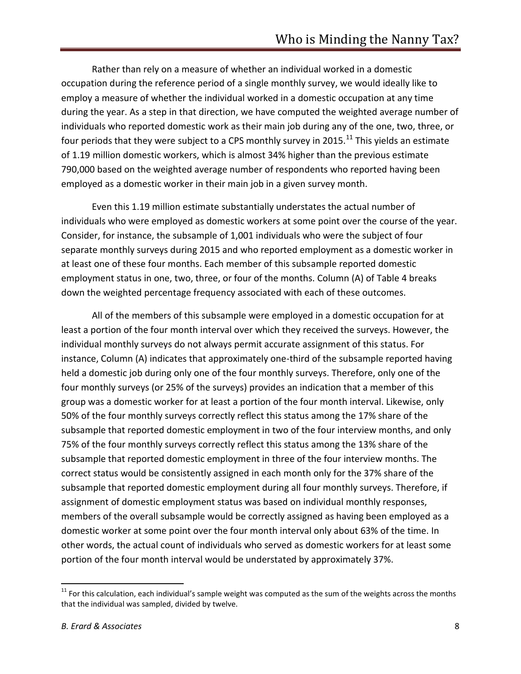Rather than rely on a measure of whether an individual worked in a domestic occupation during the reference period of a single monthly survey, we would ideally like to employ a measure of whether the individual worked in a domestic occupation at any time during the year. As a step in that direction, we have computed the weighted average number of individuals who reported domestic work as their main job during any of the one, two, three, or four periods that they were subject to a CPS monthly survey in 2015.<sup>11</sup> This yields an estimate of 1.19 million domestic workers, which is almost 34% higher than the previous estimate 790,000 based on the weighted average number of respondents who reported having been employed as a domestic worker in their main job in a given survey month.

Even this 1.19 million estimate substantially understates the actual number of individuals who were employed as domestic workers at some point over the course of the year. Consider, for instance, the subsample of 1,001 individuals who were the subject of four separate monthly surveys during 2015 and who reported employment as a domestic worker in at least one of these four months. Each member of this subsample reported domestic employment status in one, two, three, or four of the months. Column (A) of Table 4 breaks down the weighted percentage frequency associated with each of these outcomes.

All of the members of this subsample were employed in a domestic occupation for at least a portion of the four month interval over which they received the surveys. However, the individual monthly surveys do not always permit accurate assignment of this status. For instance, Column (A) indicates that approximately one-third of the subsample reported having held a domestic job during only one of the four monthly surveys. Therefore, only one of the four monthly surveys (or 25% of the surveys) provides an indication that a member of this group was a domestic worker for at least a portion of the four month interval. Likewise, only 50% of the four monthly surveys correctly reflect this status among the 17% share of the subsample that reported domestic employment in two of the four interview months, and only 75% of the four monthly surveys correctly reflect this status among the 13% share of the subsample that reported domestic employment in three of the four interview months. The correct status would be consistently assigned in each month only for the 37% share of the subsample that reported domestic employment during all four monthly surveys. Therefore, if assignment of domestic employment status was based on individual monthly responses, members of the overall subsample would be correctly assigned as having been employed as a domestic worker at some point over the four month interval only about 63% of the time. In other words, the actual count of individuals who served as domestic workers for at least some portion of the four month interval would be understated by approximately 37%.

 $11$  For this calculation, each individual's sample weight was computed as the sum of the weights across the months that the individual was sampled, divided by twelve.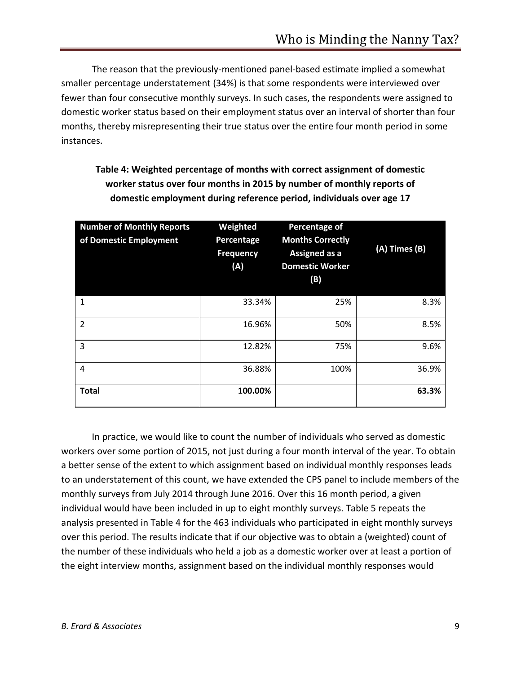The reason that the previously-mentioned panel-based estimate implied a somewhat smaller percentage understatement (34%) is that some respondents were interviewed over fewer than four consecutive monthly surveys. In such cases, the respondents were assigned to domestic worker status based on their employment status over an interval of shorter than four months, thereby misrepresenting their true status over the entire four month period in some instances.

| <b>Number of Monthly Reports</b><br>of Domestic Employment | Weighted<br>Percentage<br><b>Frequency</b><br>(A) | <b>Percentage of</b><br><b>Months Correctly</b><br><b>Assigned as a</b><br><b>Domestic Worker</b><br>(B) | (A) Times (B) |
|------------------------------------------------------------|---------------------------------------------------|----------------------------------------------------------------------------------------------------------|---------------|
| 1                                                          | 33.34%                                            | 25%                                                                                                      | 8.3%          |
| $\overline{2}$                                             | 16.96%                                            | 50%                                                                                                      | 8.5%          |
| 3                                                          | 12.82%                                            | 75%                                                                                                      | 9.6%          |
| $\overline{4}$                                             | 36.88%                                            | 100%                                                                                                     | 36.9%         |
| <b>Total</b>                                               | 100.00%                                           |                                                                                                          | 63.3%         |

# **Table 4: Weighted percentage of months with correct assignment of domestic worker status over four months in 2015 by number of monthly reports of domestic employment during reference period, individuals over age 17**

In practice, we would like to count the number of individuals who served as domestic workers over some portion of 2015, not just during a four month interval of the year. To obtain a better sense of the extent to which assignment based on individual monthly responses leads to an understatement of this count, we have extended the CPS panel to include members of the monthly surveys from July 2014 through June 2016. Over this 16 month period, a given individual would have been included in up to eight monthly surveys. Table 5 repeats the analysis presented in Table 4 for the 463 individuals who participated in eight monthly surveys over this period. The results indicate that if our objective was to obtain a (weighted) count of the number of these individuals who held a job as a domestic worker over at least a portion of the eight interview months, assignment based on the individual monthly responses would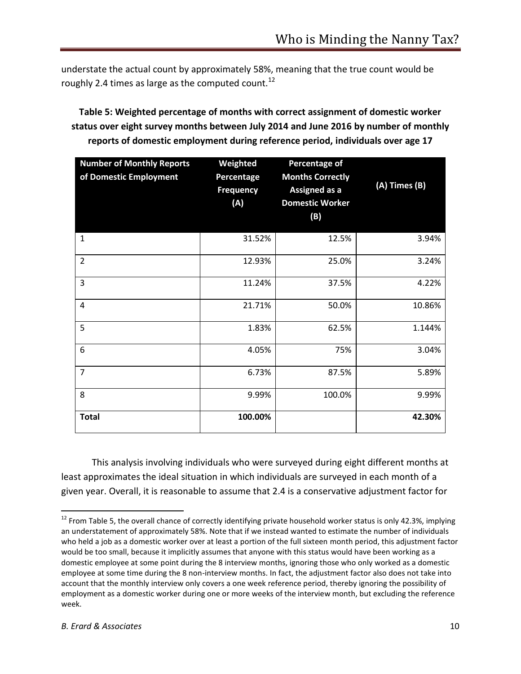understate the actual count by approximately 58%, meaning that the true count would be roughly 2.4 times as large as the computed count.<sup>12</sup>

**Table 5: Weighted percentage of months with correct assignment of domestic worker status over eight survey months between July 2014 and June 2016 by number of monthly reports of domestic employment during reference period, individuals over age 17**

| <b>Number of Monthly Reports</b><br>of Domestic Employment | Weighted<br>Percentage<br><b>Frequency</b><br>(A) | Percentage of<br><b>Months Correctly</b><br>Assigned as a<br><b>Domestic Worker</b><br>(B) | $(A)$ Times $(B)$ |
|------------------------------------------------------------|---------------------------------------------------|--------------------------------------------------------------------------------------------|-------------------|
| $\mathbf{1}$                                               | 31.52%                                            | 12.5%                                                                                      | 3.94%             |
| $\overline{2}$                                             | 12.93%                                            | 25.0%                                                                                      | 3.24%             |
| $\overline{3}$                                             | 11.24%                                            | 37.5%                                                                                      | 4.22%             |
| $\overline{4}$                                             | 21.71%                                            | 50.0%                                                                                      | 10.86%            |
| 5                                                          | 1.83%                                             | 62.5%                                                                                      | 1.144%            |
| 6                                                          | 4.05%                                             | 75%                                                                                        | 3.04%             |
| $\overline{7}$                                             | 6.73%                                             | 87.5%                                                                                      | 5.89%             |
| 8                                                          | 9.99%                                             | 100.0%                                                                                     | 9.99%             |
| <b>Total</b>                                               | 100.00%                                           |                                                                                            | 42.30%            |

This analysis involving individuals who were surveyed during eight different months at least approximates the ideal situation in which individuals are surveyed in each month of a given year. Overall, it is reasonable to assume that 2.4 is a conservative adjustment factor for

 $12$  From Table 5, the overall chance of correctly identifying private household worker status is only 42.3%, implying an understatement of approximately 58%. Note that if we instead wanted to estimate the number of individuals who held a job as a domestic worker over at least a portion of the full sixteen month period, this adjustment factor would be too small, because it implicitly assumes that anyone with this status would have been working as a domestic employee at some point during the 8 interview months, ignoring those who only worked as a domestic employee at some time during the 8 non-interview months. In fact, the adjustment factor also does not take into account that the monthly interview only covers a one week reference period, thereby ignoring the possibility of employment as a domestic worker during one or more weeks of the interview month, but excluding the reference week.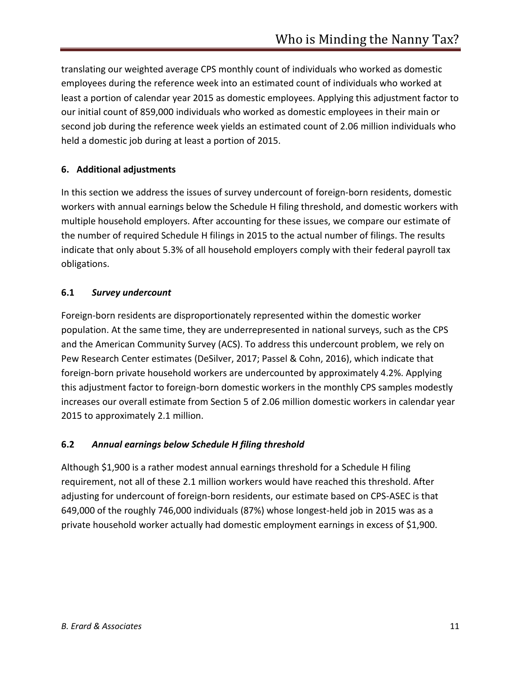translating our weighted average CPS monthly count of individuals who worked as domestic employees during the reference week into an estimated count of individuals who worked at least a portion of calendar year 2015 as domestic employees. Applying this adjustment factor to our initial count of 859,000 individuals who worked as domestic employees in their main or second job during the reference week yields an estimated count of 2.06 million individuals who held a domestic job during at least a portion of 2015.

# **6. Additional adjustments**

In this section we address the issues of survey undercount of foreign-born residents, domestic workers with annual earnings below the Schedule H filing threshold, and domestic workers with multiple household employers. After accounting for these issues, we compare our estimate of the number of required Schedule H filings in 2015 to the actual number of filings. The results indicate that only about 5.3% of all household employers comply with their federal payroll tax obligations.

# **6.1** *Survey undercount*

Foreign-born residents are disproportionately represented within the domestic worker population. At the same time, they are underrepresented in national surveys, such as the CPS and the American Community Survey (ACS). To address this undercount problem, we rely on Pew Research Center estimates (DeSilver, 2017; Passel & Cohn, 2016), which indicate that foreign-born private household workers are undercounted by approximately 4.2%. Applying this adjustment factor to foreign-born domestic workers in the monthly CPS samples modestly increases our overall estimate from Section 5 of 2.06 million domestic workers in calendar year 2015 to approximately 2.1 million.

## **6.2** *Annual earnings below Schedule H filing threshold*

Although \$1,900 is a rather modest annual earnings threshold for a Schedule H filing requirement, not all of these 2.1 million workers would have reached this threshold. After adjusting for undercount of foreign-born residents, our estimate based on CPS-ASEC is that 649,000 of the roughly 746,000 individuals (87%) whose longest-held job in 2015 was as a private household worker actually had domestic employment earnings in excess of \$1,900.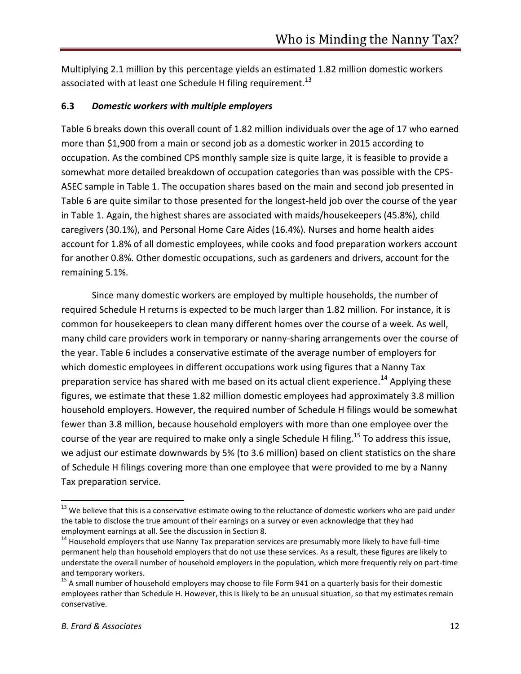Multiplying 2.1 million by this percentage yields an estimated 1.82 million domestic workers associated with at least one Schedule H filing requirement.<sup>13</sup>

#### **6.3** *Domestic workers with multiple employers*

Table 6 breaks down this overall count of 1.82 million individuals over the age of 17 who earned more than \$1,900 from a main or second job as a domestic worker in 2015 according to occupation. As the combined CPS monthly sample size is quite large, it is feasible to provide a somewhat more detailed breakdown of occupation categories than was possible with the CPS-ASEC sample in Table 1. The occupation shares based on the main and second job presented in Table 6 are quite similar to those presented for the longest-held job over the course of the year in Table 1. Again, the highest shares are associated with maids/housekeepers (45.8%), child caregivers (30.1%), and Personal Home Care Aides (16.4%). Nurses and home health aides account for 1.8% of all domestic employees, while cooks and food preparation workers account for another 0.8%. Other domestic occupations, such as gardeners and drivers, account for the remaining 5.1%.

Since many domestic workers are employed by multiple households, the number of required Schedule H returns is expected to be much larger than 1.82 million. For instance, it is common for housekeepers to clean many different homes over the course of a week. As well, many child care providers work in temporary or nanny-sharing arrangements over the course of the year. Table 6 includes a conservative estimate of the average number of employers for which domestic employees in different occupations work using figures that a Nanny Tax preparation service has shared with me based on its actual client experience.<sup>14</sup> Applying these figures, we estimate that these 1.82 million domestic employees had approximately 3.8 million household employers. However, the required number of Schedule H filings would be somewhat fewer than 3.8 million, because household employers with more than one employee over the course of the year are required to make only a single Schedule H filing.<sup>15</sup> To address this issue, we adjust our estimate downwards by 5% (to 3.6 million) based on client statistics on the share of Schedule H filings covering more than one employee that were provided to me by a Nanny Tax preparation service.

l

<sup>&</sup>lt;sup>13</sup> We believe that this is a conservative estimate owing to the reluctance of domestic workers who are paid under the table to disclose the true amount of their earnings on a survey or even acknowledge that they had employment earnings at all. See the discussion in Section 8.

<sup>&</sup>lt;sup>14</sup> Household employers that use Nanny Tax preparation services are presumably more likely to have full-time permanent help than household employers that do not use these services. As a result, these figures are likely to understate the overall number of household employers in the population, which more frequently rely on part-time and temporary workers.

<sup>&</sup>lt;sup>15</sup> A small number of household employers may choose to file Form 941 on a quarterly basis for their domestic employees rather than Schedule H. However, this is likely to be an unusual situation, so that my estimates remain conservative.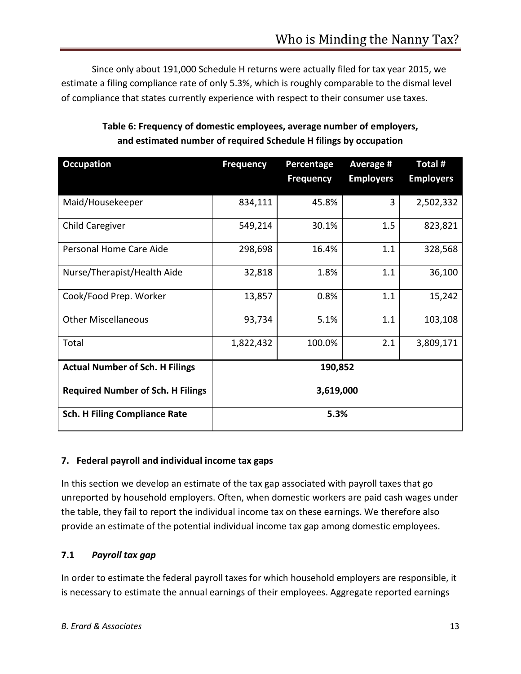Since only about 191,000 Schedule H returns were actually filed for tax year 2015, we estimate a filing compliance rate of only 5.3%, which is roughly comparable to the dismal level of compliance that states currently experience with respect to their consumer use taxes.

| <b>Occupation</b>                        | <b>Frequency</b> | Percentage       | Average #        | Total #          |
|------------------------------------------|------------------|------------------|------------------|------------------|
|                                          |                  | <b>Frequency</b> | <b>Employers</b> | <b>Employers</b> |
| Maid/Housekeeper                         | 834,111          | 45.8%            | 3                | 2,502,332        |
| Child Caregiver                          | 549,214          | 30.1%            | 1.5              | 823,821          |
| Personal Home Care Aide                  | 298,698          | 16.4%            | 1.1              | 328,568          |
| Nurse/Therapist/Health Aide              | 32,818           | 1.8%             | 1.1              | 36,100           |
| Cook/Food Prep. Worker                   | 13,857           | 0.8%             | 1.1              | 15,242           |
| <b>Other Miscellaneous</b>               | 93,734           | 5.1%             | 1.1              | 103,108          |
| Total                                    | 1,822,432        | 100.0%           | 2.1              | 3,809,171        |
| <b>Actual Number of Sch. H Filings</b>   |                  | 190,852          |                  |                  |
| <b>Required Number of Sch. H Filings</b> |                  | 3,619,000        |                  |                  |
| <b>Sch. H Filing Compliance Rate</b>     |                  | 5.3%             |                  |                  |

# **Table 6: Frequency of domestic employees, average number of employers, and estimated number of required Schedule H filings by occupation**

## **7. Federal payroll and individual income tax gaps**

In this section we develop an estimate of the tax gap associated with payroll taxes that go unreported by household employers. Often, when domestic workers are paid cash wages under the table, they fail to report the individual income tax on these earnings. We therefore also provide an estimate of the potential individual income tax gap among domestic employees.

## **7.1** *Payroll tax gap*

In order to estimate the federal payroll taxes for which household employers are responsible, it is necessary to estimate the annual earnings of their employees. Aggregate reported earnings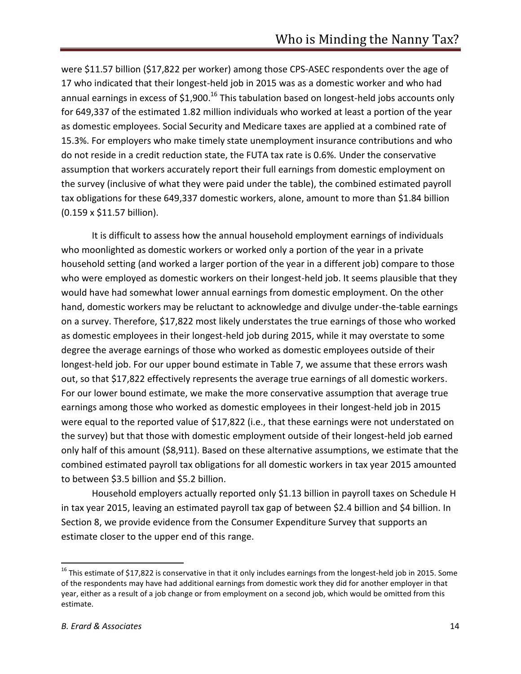were \$11.57 billion (\$17,822 per worker) among those CPS-ASEC respondents over the age of 17 who indicated that their longest-held job in 2015 was as a domestic worker and who had annual earnings in excess of \$1,900.<sup>16</sup> This tabulation based on longest-held jobs accounts only for 649,337 of the estimated 1.82 million individuals who worked at least a portion of the year as domestic employees. Social Security and Medicare taxes are applied at a combined rate of 15.3%. For employers who make timely state unemployment insurance contributions and who do not reside in a credit reduction state, the FUTA tax rate is 0.6%. Under the conservative assumption that workers accurately report their full earnings from domestic employment on the survey (inclusive of what they were paid under the table), the combined estimated payroll tax obligations for these 649,337 domestic workers, alone, amount to more than \$1.84 billion (0.159 x \$11.57 billion).

It is difficult to assess how the annual household employment earnings of individuals who moonlighted as domestic workers or worked only a portion of the year in a private household setting (and worked a larger portion of the year in a different job) compare to those who were employed as domestic workers on their longest-held job. It seems plausible that they would have had somewhat lower annual earnings from domestic employment. On the other hand, domestic workers may be reluctant to acknowledge and divulge under-the-table earnings on a survey. Therefore, \$17,822 most likely understates the true earnings of those who worked as domestic employees in their longest-held job during 2015, while it may overstate to some degree the average earnings of those who worked as domestic employees outside of their longest-held job. For our upper bound estimate in Table 7, we assume that these errors wash out, so that \$17,822 effectively represents the average true earnings of all domestic workers. For our lower bound estimate, we make the more conservative assumption that average true earnings among those who worked as domestic employees in their longest-held job in 2015 were equal to the reported value of \$17,822 (i.e., that these earnings were not understated on the survey) but that those with domestic employment outside of their longest-held job earned only half of this amount (\$8,911). Based on these alternative assumptions, we estimate that the combined estimated payroll tax obligations for all domestic workers in tax year 2015 amounted to between \$3.5 billion and \$5.2 billion.

Household employers actually reported only \$1.13 billion in payroll taxes on Schedule H in tax year 2015, leaving an estimated payroll tax gap of between \$2.4 billion and \$4 billion. In Section 8, we provide evidence from the Consumer Expenditure Survey that supports an estimate closer to the upper end of this range.

 $^{16}$  This estimate of \$17,822 is conservative in that it only includes earnings from the longest-held job in 2015. Some of the respondents may have had additional earnings from domestic work they did for another employer in that year, either as a result of a job change or from employment on a second job, which would be omitted from this estimate.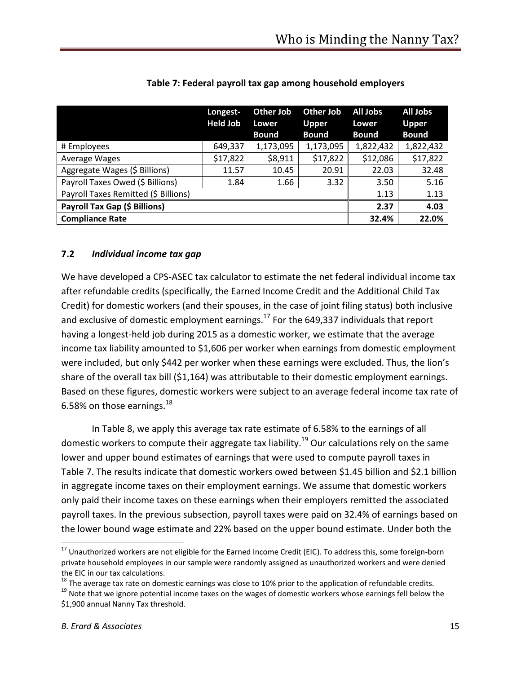|                                      | Longest-<br><b>Held Job</b> | Other Job<br>Lower<br><b>Bound</b> | Other Job<br><b>Upper</b><br><b>Bound</b> | All Jobs<br>Lower<br><b>Bound</b> | <b>All Jobs</b><br><b>Upper</b><br><b>Bound</b> |
|--------------------------------------|-----------------------------|------------------------------------|-------------------------------------------|-----------------------------------|-------------------------------------------------|
| # Employees                          | 649,337                     | 1,173,095                          | 1,173,095                                 | 1,822,432                         | 1,822,432                                       |
| Average Wages                        | \$17,822                    | \$8,911                            | \$17,822                                  | \$12,086                          | \$17,822                                        |
| Aggregate Wages (\$ Billions)        | 11.57                       | 10.45                              | 20.91                                     | 22.03                             | 32.48                                           |
| Payroll Taxes Owed (\$ Billions)     | 1.84                        | 1.66                               | 3.32                                      | 3.50                              | 5.16                                            |
| Payroll Taxes Remitted (\$ Billions) |                             |                                    |                                           | 1.13                              | 1.13                                            |
| Payroll Tax Gap (\$ Billions)        |                             |                                    |                                           | 2.37                              | 4.03                                            |
| <b>Compliance Rate</b>               |                             |                                    |                                           | 32.4%                             | 22.0%                                           |

#### **Table 7: Federal payroll tax gap among household employers**

#### **7.2** *Individual income tax gap*

We have developed a CPS-ASEC tax calculator to estimate the net federal individual income tax after refundable credits (specifically, the Earned Income Credit and the Additional Child Tax Credit) for domestic workers (and their spouses, in the case of joint filing status) both inclusive and exclusive of domestic employment earnings. $^{17}$  For the 649,337 individuals that report having a longest-held job during 2015 as a domestic worker, we estimate that the average income tax liability amounted to \$1,606 per worker when earnings from domestic employment were included, but only \$442 per worker when these earnings were excluded. Thus, the lion's share of the overall tax bill (\$1,164) was attributable to their domestic employment earnings. Based on these figures, domestic workers were subject to an average federal income tax rate of 6.58% on those earnings. $^{18}$ 

In Table 8, we apply this average tax rate estimate of 6.58% to the earnings of all domestic workers to compute their aggregate tax liability.<sup>19</sup> Our calculations rely on the same lower and upper bound estimates of earnings that were used to compute payroll taxes in Table 7. The results indicate that domestic workers owed between \$1.45 billion and \$2.1 billion in aggregate income taxes on their employment earnings. We assume that domestic workers only paid their income taxes on these earnings when their employers remitted the associated payroll taxes. In the previous subsection, payroll taxes were paid on 32.4% of earnings based on the lower bound wage estimate and 22% based on the upper bound estimate. Under both the

<sup>&</sup>lt;sup>17</sup> Unauthorized workers are not eligible for the Earned Income Credit (EIC). To address this, some foreign-born private household employees in our sample were randomly assigned as unauthorized workers and were denied the EIC in our tax calculations.

 $18$  The average tax rate on domestic earnings was close to 10% prior to the application of refundable credits.

<sup>&</sup>lt;sup>19</sup> Note that we ignore potential income taxes on the wages of domestic workers whose earnings fell below the \$1,900 annual Nanny Tax threshold.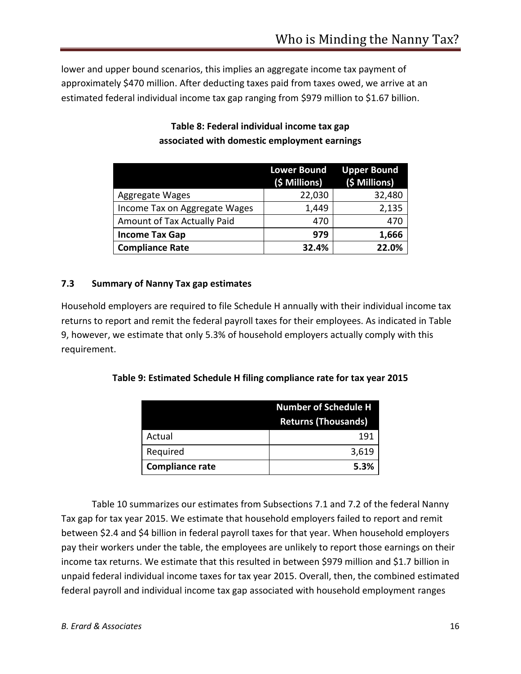lower and upper bound scenarios, this implies an aggregate income tax payment of approximately \$470 million. After deducting taxes paid from taxes owed, we arrive at an estimated federal individual income tax gap ranging from \$979 million to \$1.67 billion.

|                               | <b>Lower Bound</b><br>(\$ Millions) | <b>Upper Bound</b><br>(\$ Millions) |
|-------------------------------|-------------------------------------|-------------------------------------|
| Aggregate Wages               | 22,030                              | 32,480                              |
| Income Tax on Aggregate Wages | 1,449                               | 2,135                               |
| Amount of Tax Actually Paid   | 470                                 | 470                                 |
| <b>Income Tax Gap</b>         | 979                                 | 1,666                               |
| <b>Compliance Rate</b>        | 32.4%                               | 22.0%                               |

# **Table 8: Federal individual income tax gap associated with domestic employment earnings**

# **7.3 Summary of Nanny Tax gap estimates**

Household employers are required to file Schedule H annually with their individual income tax returns to report and remit the federal payroll taxes for their employees. As indicated in Table 9, however, we estimate that only 5.3% of household employers actually comply with this requirement.

## **Table 9: Estimated Schedule H filing compliance rate for tax year 2015**

|                        | <b>Number of Schedule H</b> |  |
|------------------------|-----------------------------|--|
|                        | <b>Returns (Thousands)</b>  |  |
| Actual                 | 191                         |  |
| Required               | 3,619                       |  |
| <b>Compliance rate</b> | 5.3%                        |  |

Table 10 summarizes our estimates from Subsections 7.1 and 7.2 of the federal Nanny Tax gap for tax year 2015. We estimate that household employers failed to report and remit between \$2.4 and \$4 billion in federal payroll taxes for that year. When household employers pay their workers under the table, the employees are unlikely to report those earnings on their income tax returns. We estimate that this resulted in between \$979 million and \$1.7 billion in unpaid federal individual income taxes for tax year 2015. Overall, then, the combined estimated federal payroll and individual income tax gap associated with household employment ranges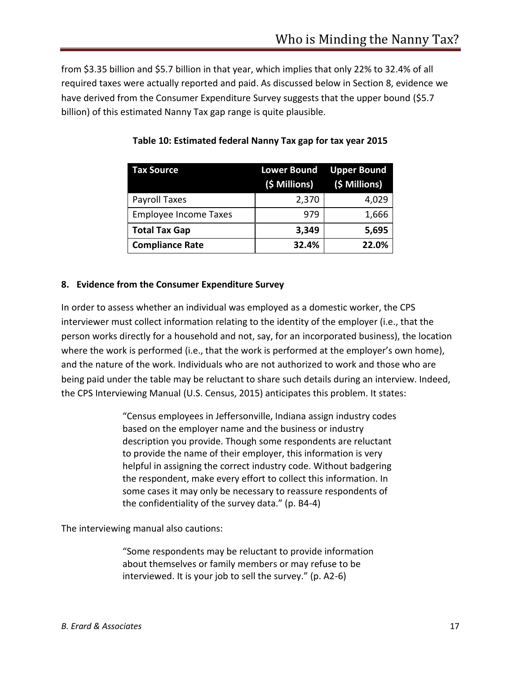from \$3.35 billion and \$5.7 billion in that year, which implies that only 22% to 32.4% of all required taxes were actually reported and paid. As discussed below in Section 8, evidence we have derived from the Consumer Expenditure Survey suggests that the upper bound (\$5.7 billion) of this estimated Nanny Tax gap range is quite plausible.

| <b>Tax Source</b>            | <b>Lower Bound Upper Bound</b><br>(\$ Millions) (\$ Millions) |       |
|------------------------------|---------------------------------------------------------------|-------|
| Payroll Taxes                | 2,370                                                         | 4,029 |
| <b>Employee Income Taxes</b> | 979                                                           | 1,666 |
| <b>Total Tax Gap</b>         | 3,349                                                         | 5,695 |
| <b>Compliance Rate</b>       | 32.4%                                                         | 22.0% |

**Table 10: Estimated federal Nanny Tax gap for tax year 2015**

## **8. Evidence from the Consumer Expenditure Survey**

In order to assess whether an individual was employed as a domestic worker, the CPS interviewer must collect information relating to the identity of the employer (i.e., that the person works directly for a household and not, say, for an incorporated business), the location where the work is performed (i.e., that the work is performed at the employer's own home), and the nature of the work. Individuals who are not authorized to work and those who are being paid under the table may be reluctant to share such details during an interview. Indeed, the CPS Interviewing Manual (U.S. Census, 2015) anticipates this problem. It states:

> "Census employees in Jeffersonville, Indiana assign industry codes based on the employer name and the business or industry description you provide. Though some respondents are reluctant to provide the name of their employer, this information is very helpful in assigning the correct industry code. Without badgering the respondent, make every effort to collect this information. In some cases it may only be necessary to reassure respondents of the confidentiality of the survey data." (p. B4-4)

The interviewing manual also cautions:

"Some respondents may be reluctant to provide information about themselves or family members or may refuse to be interviewed. It is your job to sell the survey." (p. A2-6)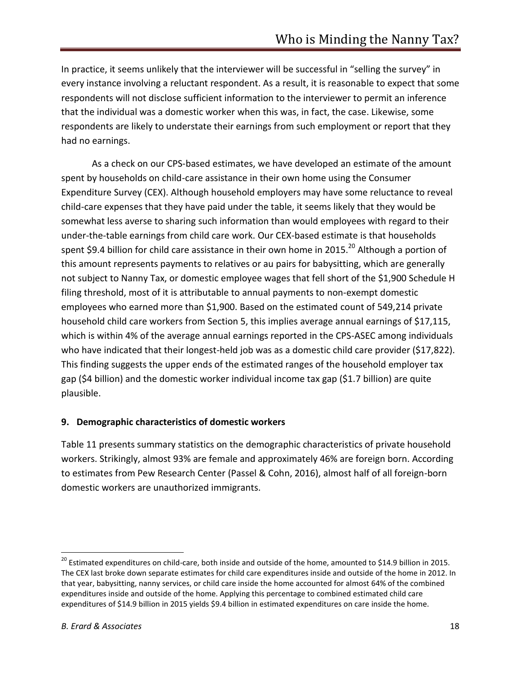In practice, it seems unlikely that the interviewer will be successful in "selling the survey" in every instance involving a reluctant respondent. As a result, it is reasonable to expect that some respondents will not disclose sufficient information to the interviewer to permit an inference that the individual was a domestic worker when this was, in fact, the case. Likewise, some respondents are likely to understate their earnings from such employment or report that they had no earnings.

As a check on our CPS-based estimates, we have developed an estimate of the amount spent by households on child-care assistance in their own home using the Consumer Expenditure Survey (CEX). Although household employers may have some reluctance to reveal child-care expenses that they have paid under the table, it seems likely that they would be somewhat less averse to sharing such information than would employees with regard to their under-the-table earnings from child care work. Our CEX-based estimate is that households spent \$9.4 billion for child care assistance in their own home in 2015.<sup>20</sup> Although a portion of this amount represents payments to relatives or au pairs for babysitting, which are generally not subject to Nanny Tax, or domestic employee wages that fell short of the \$1,900 Schedule H filing threshold, most of it is attributable to annual payments to non-exempt domestic employees who earned more than \$1,900. Based on the estimated count of 549,214 private household child care workers from Section 5, this implies average annual earnings of \$17,115, which is within 4% of the average annual earnings reported in the CPS-ASEC among individuals who have indicated that their longest-held job was as a domestic child care provider (\$17,822). This finding suggests the upper ends of the estimated ranges of the household employer tax gap (\$4 billion) and the domestic worker individual income tax gap (\$1.7 billion) are quite plausible.

#### **9. Demographic characteristics of domestic workers**

Table 11 presents summary statistics on the demographic characteristics of private household workers. Strikingly, almost 93% are female and approximately 46% are foreign born. According to estimates from Pew Research Center (Passel & Cohn, 2016), almost half of all foreign-born domestic workers are unauthorized immigrants.

 $\overline{a}$ 

 $^{20}$  Estimated expenditures on child-care, both inside and outside of the home, amounted to \$14.9 billion in 2015. The CEX last broke down separate estimates for child care expenditures inside and outside of the home in 2012. In that year, babysitting, nanny services, or child care inside the home accounted for almost 64% of the combined expenditures inside and outside of the home. Applying this percentage to combined estimated child care expenditures of \$14.9 billion in 2015 yields \$9.4 billion in estimated expenditures on care inside the home.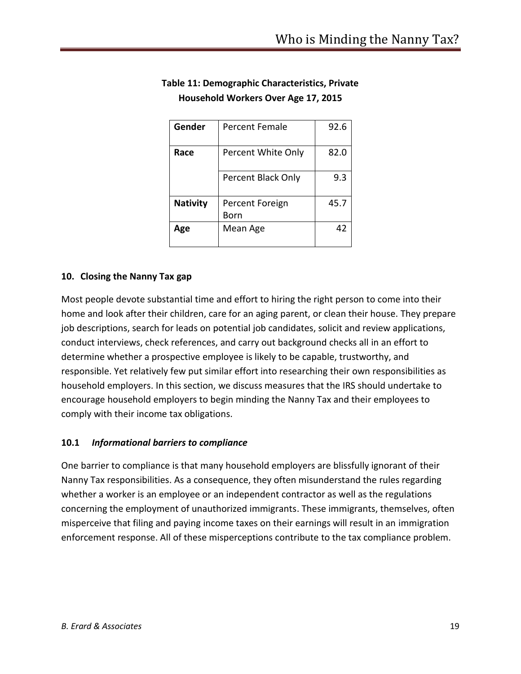| Gender          | <b>Percent Female</b>   | 92.6 |
|-----------------|-------------------------|------|
| Race            | Percent White Only      | 82.0 |
|                 | Percent Black Only      | 9.3  |
| <b>Nativity</b> | Percent Foreign<br>Born | 45.7 |
| Age             | Mean Age                | 47   |

# **Table 11: Demographic Characteristics, Private Household Workers Over Age 17, 2015**

# **10. Closing the Nanny Tax gap**

Most people devote substantial time and effort to hiring the right person to come into their home and look after their children, care for an aging parent, or clean their house. They prepare job descriptions, search for leads on potential job candidates, solicit and review applications, conduct interviews, check references, and carry out background checks all in an effort to determine whether a prospective employee is likely to be capable, trustworthy, and responsible. Yet relatively few put similar effort into researching their own responsibilities as household employers. In this section, we discuss measures that the IRS should undertake to encourage household employers to begin minding the Nanny Tax and their employees to comply with their income tax obligations.

## **10.1** *Informational barriers to compliance*

One barrier to compliance is that many household employers are blissfully ignorant of their Nanny Tax responsibilities. As a consequence, they often misunderstand the rules regarding whether a worker is an employee or an independent contractor as well as the regulations concerning the employment of unauthorized immigrants. These immigrants, themselves, often misperceive that filing and paying income taxes on their earnings will result in an immigration enforcement response. All of these misperceptions contribute to the tax compliance problem.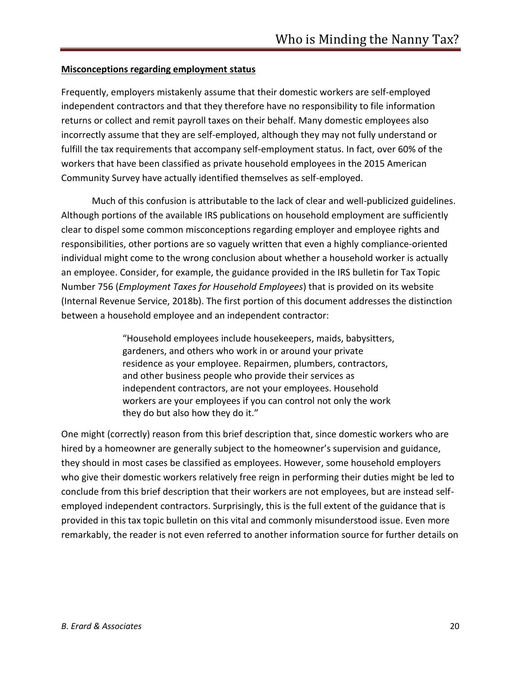#### **Misconceptions regarding employment status**

Frequently, employers mistakenly assume that their domestic workers are self-employed independent contractors and that they therefore have no responsibility to file information returns or collect and remit payroll taxes on their behalf. Many domestic employees also incorrectly assume that they are self-employed, although they may not fully understand or fulfill the tax requirements that accompany self-employment status. In fact, over 60% of the workers that have been classified as private household employees in the 2015 American Community Survey have actually identified themselves as self-employed.

Much of this confusion is attributable to the lack of clear and well-publicized guidelines. Although portions of the available IRS publications on household employment are sufficiently clear to dispel some common misconceptions regarding employer and employee rights and responsibilities, other portions are so vaguely written that even a highly compliance-oriented individual might come to the wrong conclusion about whether a household worker is actually an employee. Consider, for example, the guidance provided in the IRS bulletin for Tax Topic Number 756 (*Employment Taxes for Household Employees*) that is provided on its website (Internal Revenue Service, 2018b). The first portion of this document addresses the distinction between a household employee and an independent contractor:

> "Household employees include housekeepers, maids, babysitters, gardeners, and others who work in or around your private residence as your employee. Repairmen, plumbers, contractors, and other business people who provide their services as independent contractors, are not your employees. Household workers are your employees if you can control not only the work they do but also how they do it."

One might (correctly) reason from this brief description that, since domestic workers who are hired by a homeowner are generally subject to the homeowner's supervision and guidance, they should in most cases be classified as employees. However, some household employers who give their domestic workers relatively free reign in performing their duties might be led to conclude from this brief description that their workers are not employees, but are instead selfemployed independent contractors. Surprisingly, this is the full extent of the guidance that is provided in this tax topic bulletin on this vital and commonly misunderstood issue. Even more remarkably, the reader is not even referred to another information source for further details on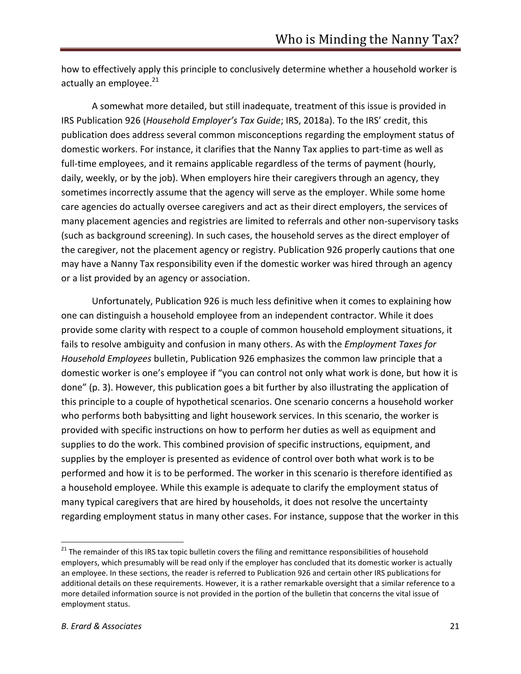how to effectively apply this principle to conclusively determine whether a household worker is actually an employee. $^{21}$ 

A somewhat more detailed, but still inadequate, treatment of this issue is provided in IRS Publication 926 (*Household Employer's Tax Guide*; IRS, 2018a). To the IRS' credit, this publication does address several common misconceptions regarding the employment status of domestic workers. For instance, it clarifies that the Nanny Tax applies to part-time as well as full-time employees, and it remains applicable regardless of the terms of payment (hourly, daily, weekly, or by the job). When employers hire their caregivers through an agency, they sometimes incorrectly assume that the agency will serve as the employer. While some home care agencies do actually oversee caregivers and act as their direct employers, the services of many placement agencies and registries are limited to referrals and other non-supervisory tasks (such as background screening). In such cases, the household serves as the direct employer of the caregiver, not the placement agency or registry. Publication 926 properly cautions that one may have a Nanny Tax responsibility even if the domestic worker was hired through an agency or a list provided by an agency or association.

Unfortunately, Publication 926 is much less definitive when it comes to explaining how one can distinguish a household employee from an independent contractor. While it does provide some clarity with respect to a couple of common household employment situations, it fails to resolve ambiguity and confusion in many others. As with the *Employment Taxes for Household Employees* bulletin, Publication 926 emphasizes the common law principle that a domestic worker is one's employee if "you can control not only what work is done, but how it is done" (p. 3). However, this publication goes a bit further by also illustrating the application of this principle to a couple of hypothetical scenarios. One scenario concerns a household worker who performs both babysitting and light housework services. In this scenario, the worker is provided with specific instructions on how to perform her duties as well as equipment and supplies to do the work. This combined provision of specific instructions, equipment, and supplies by the employer is presented as evidence of control over both what work is to be performed and how it is to be performed. The worker in this scenario is therefore identified as a household employee. While this example is adequate to clarify the employment status of many typical caregivers that are hired by households, it does not resolve the uncertainty regarding employment status in many other cases. For instance, suppose that the worker in this

<sup>&</sup>lt;sup>21</sup> The remainder of this IRS tax topic bulletin covers the filing and remittance responsibilities of household employers, which presumably will be read only if the employer has concluded that its domestic worker is actually an employee. In these sections, the reader is referred to Publication 926 and certain other IRS publications for additional details on these requirements. However, it is a rather remarkable oversight that a similar reference to a more detailed information source is not provided in the portion of the bulletin that concerns the vital issue of employment status.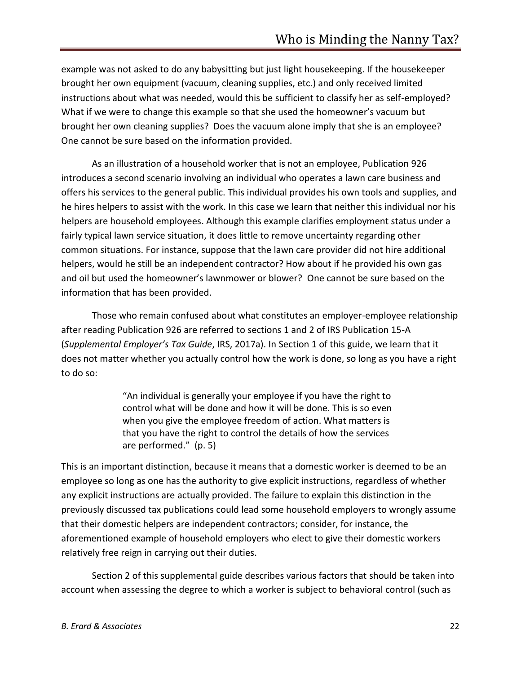example was not asked to do any babysitting but just light housekeeping. If the housekeeper brought her own equipment (vacuum, cleaning supplies, etc.) and only received limited instructions about what was needed, would this be sufficient to classify her as self-employed? What if we were to change this example so that she used the homeowner's vacuum but brought her own cleaning supplies? Does the vacuum alone imply that she is an employee? One cannot be sure based on the information provided.

As an illustration of a household worker that is not an employee, Publication 926 introduces a second scenario involving an individual who operates a lawn care business and offers his services to the general public. This individual provides his own tools and supplies, and he hires helpers to assist with the work. In this case we learn that neither this individual nor his helpers are household employees. Although this example clarifies employment status under a fairly typical lawn service situation, it does little to remove uncertainty regarding other common situations. For instance, suppose that the lawn care provider did not hire additional helpers, would he still be an independent contractor? How about if he provided his own gas and oil but used the homeowner's lawnmower or blower? One cannot be sure based on the information that has been provided.

Those who remain confused about what constitutes an employer-employee relationship after reading Publication 926 are referred to sections 1 and 2 of IRS Publication 15-A (*Supplemental Employer's Tax Guide*, IRS, 2017a). In Section 1 of this guide, we learn that it does not matter whether you actually control how the work is done, so long as you have a right to do so:

> "An individual is generally your employee if you have the right to control what will be done and how it will be done. This is so even when you give the employee freedom of action. What matters is that you have the right to control the details of how the services are performed." (p. 5)

This is an important distinction, because it means that a domestic worker is deemed to be an employee so long as one has the authority to give explicit instructions, regardless of whether any explicit instructions are actually provided. The failure to explain this distinction in the previously discussed tax publications could lead some household employers to wrongly assume that their domestic helpers are independent contractors; consider, for instance, the aforementioned example of household employers who elect to give their domestic workers relatively free reign in carrying out their duties.

Section 2 of this supplemental guide describes various factors that should be taken into account when assessing the degree to which a worker is subject to behavioral control (such as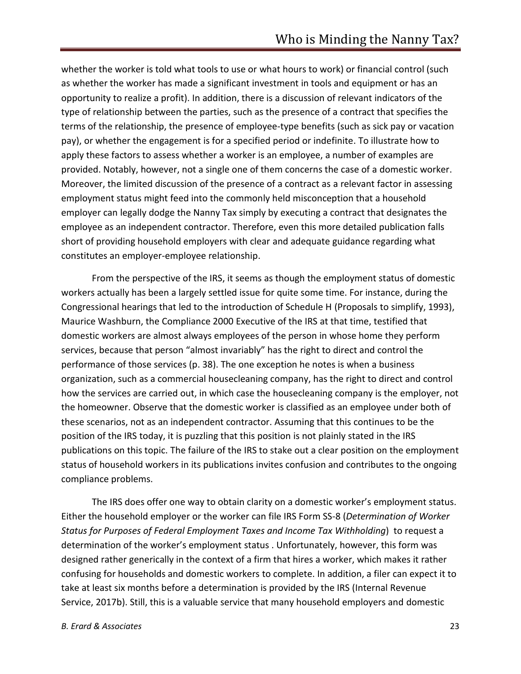whether the worker is told what tools to use or what hours to work) or financial control (such as whether the worker has made a significant investment in tools and equipment or has an opportunity to realize a profit). In addition, there is a discussion of relevant indicators of the type of relationship between the parties, such as the presence of a contract that specifies the terms of the relationship, the presence of employee-type benefits (such as sick pay or vacation pay), or whether the engagement is for a specified period or indefinite. To illustrate how to apply these factors to assess whether a worker is an employee, a number of examples are provided. Notably, however, not a single one of them concerns the case of a domestic worker. Moreover, the limited discussion of the presence of a contract as a relevant factor in assessing employment status might feed into the commonly held misconception that a household employer can legally dodge the Nanny Tax simply by executing a contract that designates the employee as an independent contractor. Therefore, even this more detailed publication falls short of providing household employers with clear and adequate guidance regarding what constitutes an employer-employee relationship.

From the perspective of the IRS, it seems as though the employment status of domestic workers actually has been a largely settled issue for quite some time. For instance, during the Congressional hearings that led to the introduction of Schedule H (Proposals to simplify, 1993), Maurice Washburn, the Compliance 2000 Executive of the IRS at that time, testified that domestic workers are almost always employees of the person in whose home they perform services, because that person "almost invariably" has the right to direct and control the performance of those services (p. 38). The one exception he notes is when a business organization, such as a commercial housecleaning company, has the right to direct and control how the services are carried out, in which case the housecleaning company is the employer, not the homeowner. Observe that the domestic worker is classified as an employee under both of these scenarios, not as an independent contractor. Assuming that this continues to be the position of the IRS today, it is puzzling that this position is not plainly stated in the IRS publications on this topic. The failure of the IRS to stake out a clear position on the employment status of household workers in its publications invites confusion and contributes to the ongoing compliance problems.

The IRS does offer one way to obtain clarity on a domestic worker's employment status. Either the household employer or the worker can file IRS Form SS-8 (*Determination of Worker Status for Purposes of Federal Employment Taxes and Income Tax Withholding*) to request a determination of the worker's employment status . Unfortunately, however, this form was designed rather generically in the context of a firm that hires a worker, which makes it rather confusing for households and domestic workers to complete. In addition, a filer can expect it to take at least six months before a determination is provided by the IRS (Internal Revenue Service, 2017b). Still, this is a valuable service that many household employers and domestic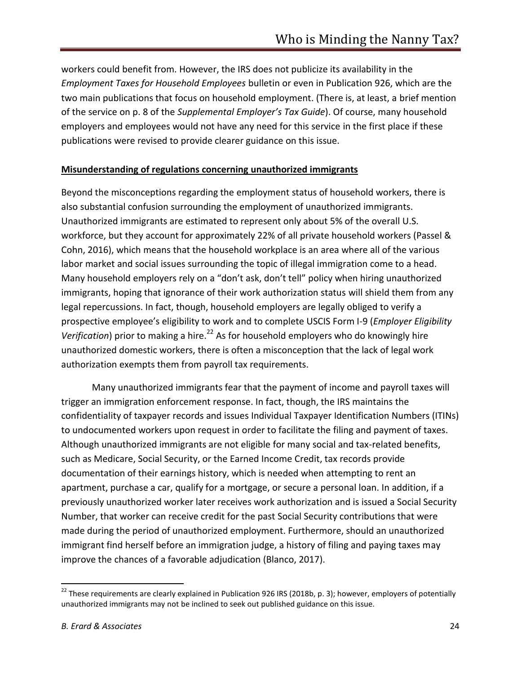workers could benefit from. However, the IRS does not publicize its availability in the *Employment Taxes for Household Employees* bulletin or even in Publication 926, which are the two main publications that focus on household employment. (There is, at least, a brief mention of the service on p. 8 of the *Supplemental Employer's Tax Guide*). Of course, many household employers and employees would not have any need for this service in the first place if these publications were revised to provide clearer guidance on this issue.

#### **Misunderstanding of regulations concerning unauthorized immigrants**

Beyond the misconceptions regarding the employment status of household workers, there is also substantial confusion surrounding the employment of unauthorized immigrants. Unauthorized immigrants are estimated to represent only about 5% of the overall U.S. workforce, but they account for approximately 22% of all private household workers (Passel & Cohn, 2016), which means that the household workplace is an area where all of the various labor market and social issues surrounding the topic of illegal immigration come to a head. Many household employers rely on a "don't ask, don't tell" policy when hiring unauthorized immigrants, hoping that ignorance of their work authorization status will shield them from any legal repercussions. In fact, though, household employers are legally obliged to verify a prospective employee's eligibility to work and to complete USCIS Form I-9 (*Employer Eligibility Verification*) prior to making a hire.<sup>22</sup> As for household employers who do knowingly hire unauthorized domestic workers, there is often a misconception that the lack of legal work authorization exempts them from payroll tax requirements.

Many unauthorized immigrants fear that the payment of income and payroll taxes will trigger an immigration enforcement response. In fact, though, the IRS maintains the confidentiality of taxpayer records and issues Individual Taxpayer Identification Numbers (ITINs) to undocumented workers upon request in order to facilitate the filing and payment of taxes. Although unauthorized immigrants are not eligible for many social and tax-related benefits, such as Medicare, Social Security, or the Earned Income Credit, tax records provide documentation of their earnings history, which is needed when attempting to rent an apartment, purchase a car, qualify for a mortgage, or secure a personal loan. In addition, if a previously unauthorized worker later receives work authorization and is issued a Social Security Number, that worker can receive credit for the past Social Security contributions that were made during the period of unauthorized employment. Furthermore, should an unauthorized immigrant find herself before an immigration judge, a history of filing and paying taxes may improve the chances of a favorable adjudication (Blanco, 2017).

<sup>&</sup>lt;sup>22</sup> These requirements are clearly explained in Publication 926 IRS (2018b, p. 3); however, employers of potentially unauthorized immigrants may not be inclined to seek out published guidance on this issue.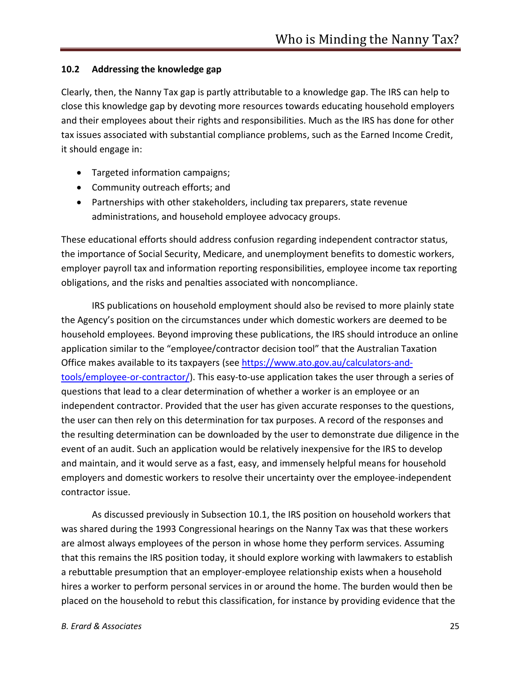#### **10.2 Addressing the knowledge gap**

Clearly, then, the Nanny Tax gap is partly attributable to a knowledge gap. The IRS can help to close this knowledge gap by devoting more resources towards educating household employers and their employees about their rights and responsibilities. Much as the IRS has done for other tax issues associated with substantial compliance problems, such as the Earned Income Credit, it should engage in:

- Targeted information campaigns;
- Community outreach efforts; and
- Partnerships with other stakeholders, including tax preparers, state revenue administrations, and household employee advocacy groups.

These educational efforts should address confusion regarding independent contractor status, the importance of Social Security, Medicare, and unemployment benefits to domestic workers, employer payroll tax and information reporting responsibilities, employee income tax reporting obligations, and the risks and penalties associated with noncompliance.

IRS publications on household employment should also be revised to more plainly state the Agency's position on the circumstances under which domestic workers are deemed to be household employees. Beyond improving these publications, the IRS should introduce an online application similar to the "employee/contractor decision tool" that the Australian Taxation Office makes available to its taxpayers (see https://www.ato.gov.au/calculators-andtools/employee-or-contractor/). This easy-to-use application takes the user through a series of questions that lead to a clear determination of whether a worker is an employee or an independent contractor. Provided that the user has given accurate responses to the questions, the user can then rely on this determination for tax purposes. A record of the responses and the resulting determination can be downloaded by the user to demonstrate due diligence in the event of an audit. Such an application would be relatively inexpensive for the IRS to develop and maintain, and it would serve as a fast, easy, and immensely helpful means for household employers and domestic workers to resolve their uncertainty over the employee-independent contractor issue.

As discussed previously in Subsection 10.1, the IRS position on household workers that was shared during the 1993 Congressional hearings on the Nanny Tax was that these workers are almost always employees of the person in whose home they perform services. Assuming that this remains the IRS position today, it should explore working with lawmakers to establish a rebuttable presumption that an employer-employee relationship exists when a household hires a worker to perform personal services in or around the home. The burden would then be placed on the household to rebut this classification, for instance by providing evidence that the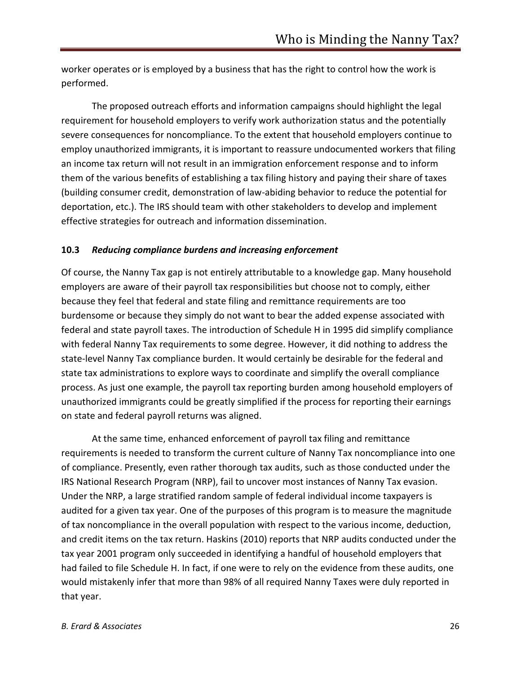worker operates or is employed by a business that has the right to control how the work is performed.

The proposed outreach efforts and information campaigns should highlight the legal requirement for household employers to verify work authorization status and the potentially severe consequences for noncompliance. To the extent that household employers continue to employ unauthorized immigrants, it is important to reassure undocumented workers that filing an income tax return will not result in an immigration enforcement response and to inform them of the various benefits of establishing a tax filing history and paying their share of taxes (building consumer credit, demonstration of law-abiding behavior to reduce the potential for deportation, etc.). The IRS should team with other stakeholders to develop and implement effective strategies for outreach and information dissemination.

#### **10.3** *Reducing compliance burdens and increasing enforcement*

Of course, the Nanny Tax gap is not entirely attributable to a knowledge gap. Many household employers are aware of their payroll tax responsibilities but choose not to comply, either because they feel that federal and state filing and remittance requirements are too burdensome or because they simply do not want to bear the added expense associated with federal and state payroll taxes. The introduction of Schedule H in 1995 did simplify compliance with federal Nanny Tax requirements to some degree. However, it did nothing to address the state-level Nanny Tax compliance burden. It would certainly be desirable for the federal and state tax administrations to explore ways to coordinate and simplify the overall compliance process. As just one example, the payroll tax reporting burden among household employers of unauthorized immigrants could be greatly simplified if the process for reporting their earnings on state and federal payroll returns was aligned.

At the same time, enhanced enforcement of payroll tax filing and remittance requirements is needed to transform the current culture of Nanny Tax noncompliance into one of compliance. Presently, even rather thorough tax audits, such as those conducted under the IRS National Research Program (NRP), fail to uncover most instances of Nanny Tax evasion. Under the NRP, a large stratified random sample of federal individual income taxpayers is audited for a given tax year. One of the purposes of this program is to measure the magnitude of tax noncompliance in the overall population with respect to the various income, deduction, and credit items on the tax return. Haskins (2010) reports that NRP audits conducted under the tax year 2001 program only succeeded in identifying a handful of household employers that had failed to file Schedule H. In fact, if one were to rely on the evidence from these audits, one would mistakenly infer that more than 98% of all required Nanny Taxes were duly reported in that year.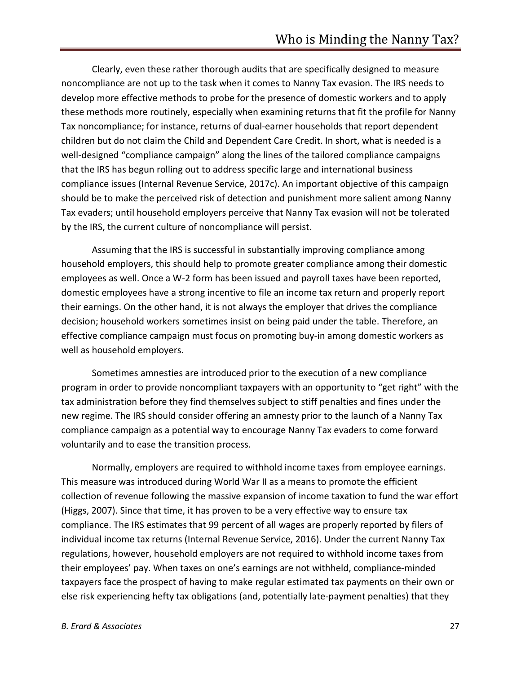Clearly, even these rather thorough audits that are specifically designed to measure noncompliance are not up to the task when it comes to Nanny Tax evasion. The IRS needs to develop more effective methods to probe for the presence of domestic workers and to apply these methods more routinely, especially when examining returns that fit the profile for Nanny Tax noncompliance; for instance, returns of dual-earner households that report dependent children but do not claim the Child and Dependent Care Credit. In short, what is needed is a well-designed "compliance campaign" along the lines of the tailored compliance campaigns that the IRS has begun rolling out to address specific large and international business compliance issues (Internal Revenue Service, 2017c). An important objective of this campaign should be to make the perceived risk of detection and punishment more salient among Nanny Tax evaders; until household employers perceive that Nanny Tax evasion will not be tolerated by the IRS, the current culture of noncompliance will persist.

Assuming that the IRS is successful in substantially improving compliance among household employers, this should help to promote greater compliance among their domestic employees as well. Once a W-2 form has been issued and payroll taxes have been reported, domestic employees have a strong incentive to file an income tax return and properly report their earnings. On the other hand, it is not always the employer that drives the compliance decision; household workers sometimes insist on being paid under the table. Therefore, an effective compliance campaign must focus on promoting buy-in among domestic workers as well as household employers.

Sometimes amnesties are introduced prior to the execution of a new compliance program in order to provide noncompliant taxpayers with an opportunity to "get right" with the tax administration before they find themselves subject to stiff penalties and fines under the new regime. The IRS should consider offering an amnesty prior to the launch of a Nanny Tax compliance campaign as a potential way to encourage Nanny Tax evaders to come forward voluntarily and to ease the transition process.

Normally, employers are required to withhold income taxes from employee earnings. This measure was introduced during World War II as a means to promote the efficient collection of revenue following the massive expansion of income taxation to fund the war effort (Higgs, 2007). Since that time, it has proven to be a very effective way to ensure tax compliance. The IRS estimates that 99 percent of all wages are properly reported by filers of individual income tax returns (Internal Revenue Service, 2016). Under the current Nanny Tax regulations, however, household employers are not required to withhold income taxes from their employees' pay. When taxes on one's earnings are not withheld, compliance-minded taxpayers face the prospect of having to make regular estimated tax payments on their own or else risk experiencing hefty tax obligations (and, potentially late-payment penalties) that they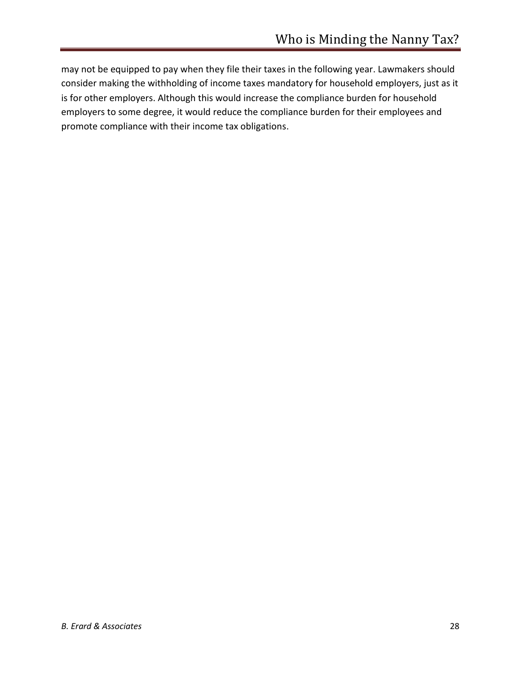may not be equipped to pay when they file their taxes in the following year. Lawmakers should consider making the withholding of income taxes mandatory for household employers, just as it is for other employers. Although this would increase the compliance burden for household employers to some degree, it would reduce the compliance burden for their employees and promote compliance with their income tax obligations.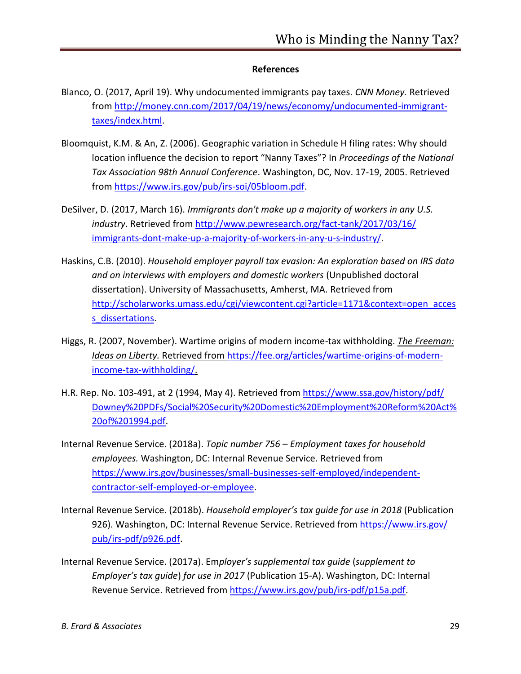#### **References**

- Blanco, O. (2017, April 19). Why undocumented immigrants pay taxes. *CNN Money.* Retrieved from http://money.cnn.com/2017/04/19/news/economy/undocumented-immigranttaxes/index.html.
- Bloomquist, K.M. & An, Z. (2006). Geographic variation in Schedule H filing rates: Why should location influence the decision to report "Nanny Taxes"? In *Proceedings of the National Tax Association 98th Annual Conference*. Washington, DC, Nov. 17-19, 2005. Retrieved from https://www.irs.gov/pub/irs-soi/05bloom.pdf.
- DeSilver, D. (2017, March 16). *Immigrants don't make up a majority of workers in any U.S. industry*. Retrieved from http://www.pewresearch.org/fact-tank/2017/03/16/ immigrants-dont-make-up-a-majority-of-workers-in-any-u-s-industry/.
- Haskins, C.B. (2010). *Household employer payroll tax evasion: An exploration based on IRS data and on interviews with employers and domestic workers* (Unpublished doctoral dissertation). University of Massachusetts, Amherst, MA. Retrieved from http://scholarworks.umass.edu/cgi/viewcontent.cgi?article=1171&context=open\_acces s dissertations.
- Higgs, R. (2007, November). Wartime origins of modern income-tax withholding. *The Freeman: Ideas on Liberty.* Retrieved from https://fee.org/articles/wartime-origins-of-modernincome-tax-withholding/.
- H.R. Rep. No. 103-491, at 2 (1994, May 4). Retrieved from https://www.ssa.gov/history/pdf/ Downey%20PDFs/Social%20Security%20Domestic%20Employment%20Reform%20Act% 20of%201994.pdf.
- Internal Revenue Service. (2018a). *Topic number 756 – Employment taxes for household employees.* Washington, DC: Internal Revenue Service. Retrieved from https://www.irs.gov/businesses/small-businesses-self-employed/independentcontractor-self-employed-or-employee.
- Internal Revenue Service. (2018b). *Household employer's tax guide for use in 2018* (Publication 926). Washington, DC: Internal Revenue Service. Retrieved from https://www.irs.gov/ pub/irs-pdf/p926.pdf.
- Internal Revenue Service. (2017a). Em*ployer's supplemental tax guide* (*supplement to Employer's tax guide*) *for use in 2017* (Publication 15-A). Washington, DC: Internal Revenue Service. Retrieved from https://www.irs.gov/pub/irs-pdf/p15a.pdf.